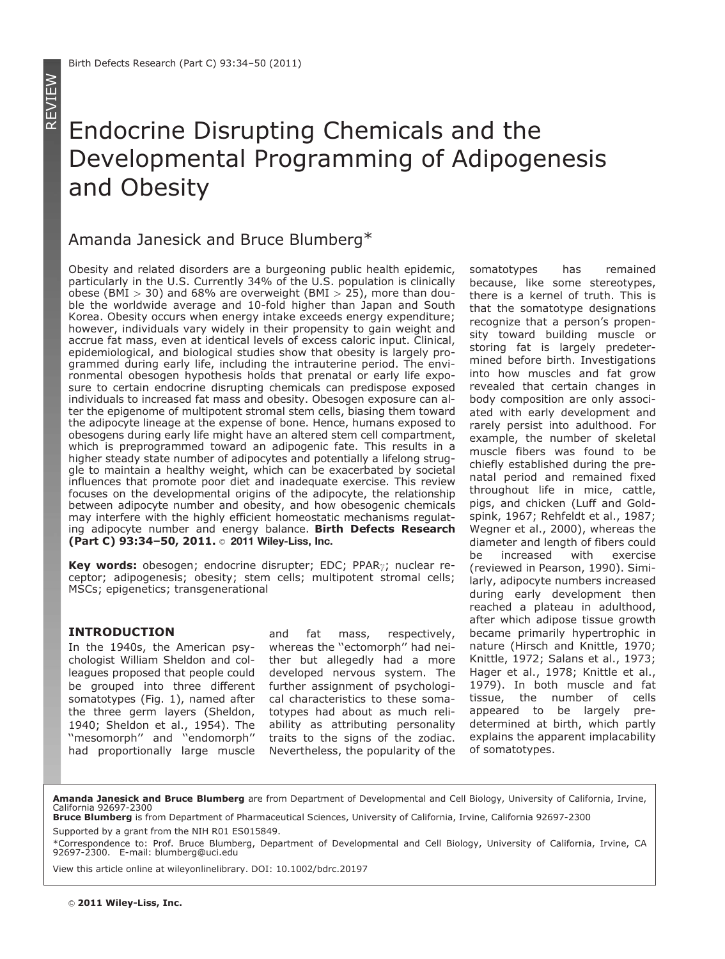# Endocrine Disrupting Chemicals and the Developmental Programming of Adipogenesis and Obesity

# Amanda Janesick and Bruce Blumberg\*

Obesity and related disorders are a burgeoning public health epidemic, particularly in the U.S. Currently 34% of the U.S. population is clinically obese (BMI  $> 30$ ) and 68% are overweight (BMI  $> 25$ ), more than double the worldwide average and 10-fold higher than Japan and South Korea. Obesity occurs when energy intake exceeds energy expenditure; however, individuals vary widely in their propensity to gain weight and accrue fat mass, even at identical levels of excess caloric input. Clinical, epidemiological, and biological studies show that obesity is largely programmed during early life, including the intrauterine period. The environmental obesogen hypothesis holds that prenatal or early life exposure to certain endocrine disrupting chemicals can predispose exposed individuals to increased fat mass and obesity. Obesogen exposure can alter the epigenome of multipotent stromal stem cells, biasing them toward the adipocyte lineage at the expense of bone. Hence, humans exposed to obesogens during early life might have an altered stem cell compartment, which is preprogrammed toward an adipogenic fate. This results in a higher steady state number of adipocytes and potentially a lifelong struggle to maintain a healthy weight, which can be exacerbated by societal influences that promote poor diet and inadequate exercise. This review focuses on the developmental origins of the adipocyte, the relationship between adipocyte number and obesity, and how obesogenic chemicals may interfere with the highly efficient homeostatic mechanisms regulating adipocyte number and energy balance. Birth Defects Research (Part C) 93:34-50, 2011. 2011 Wiley-Liss, Inc.

Key words: obesogen; endocrine disrupter; EDC; PPAR<sub>7</sub>; nuclear receptor; adipogenesis; obesity; stem cells; multipotent stromal cells; MSCs; epigenetics; transgenerational

#### INTRODUCTION

In the 1940s, the American psychologist William Sheldon and colleagues proposed that people could be grouped into three different somatotypes (Fig. 1), named after the three germ layers (Sheldon, 1940; Sheldon et al., 1954). The ''mesomorph'' and ''endomorph'' had proportionally large muscle

and fat mass, respectively, whereas the ''ectomorph'' had neither but allegedly had a more developed nervous system. The further assignment of psychological characteristics to these somatotypes had about as much reliability as attributing personality traits to the signs of the zodiac. Nevertheless, the popularity of the

somatotypes has remained because, like some stereotypes, there is a kernel of truth. This is that the somatotype designations recognize that a person's propensity toward building muscle or storing fat is largely predetermined before birth. Investigations into how muscles and fat grow revealed that certain changes in body composition are only associated with early development and rarely persist into adulthood. For example, the number of skeletal muscle fibers was found to be chiefly established during the prenatal period and remained fixed throughout life in mice, cattle, pigs, and chicken (Luff and Goldspink, 1967; Rehfeldt et al., 1987; Wegner et al., 2000), whereas the diameter and length of fibers could be increased with exercise (reviewed in Pearson, 1990). Similarly, adipocyte numbers increased during early development then reached a plateau in adulthood, after which adipose tissue growth became primarily hypertrophic in nature (Hirsch and Knittle, 1970; Knittle, 1972; Salans et al., 1973; Hager et al., 1978; Knittle et al., 1979). In both muscle and fat tissue, the number of cells appeared to be largely predetermined at birth, which partly explains the apparent implacability of somatotypes.

#### Amanda Janesick and Bruce Blumberg are from Department of Developmental and Cell Biology, University of California, Irvine, California 92697-2300

View this article online at wileyonlinelibrary. DOI: 10.1002/bdrc.20197

Bruce Blumberg is from Department of Pharmaceutical Sciences, University of California, Irvine, California 92697-2300 Supported by a grant from the NIH R01 ES015849.

<sup>\*</sup>Correspondence to: Prof. Bruce Blumberg, Department of Developmental and Cell Biology, University of California, Irvine, CA 92697-2300. E-mail: blumberg@uci.edu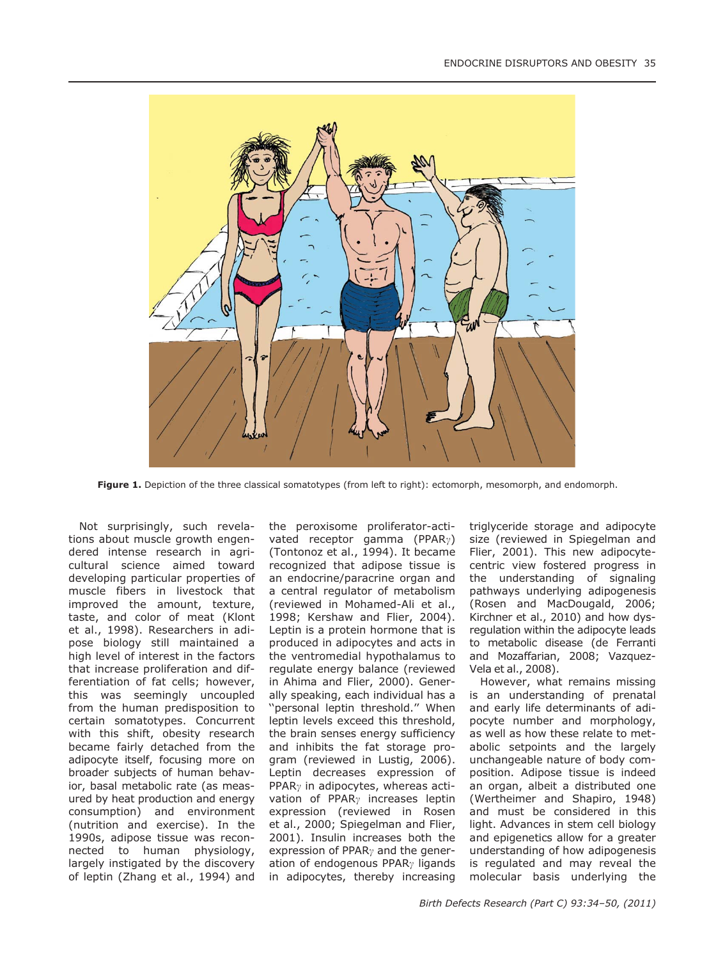

Figure 1. Depiction of the three classical somatotypes (from left to right): ectomorph, mesomorph, and endomorph.

Not surprisingly, such revelations about muscle growth engendered intense research in agricultural science aimed toward developing particular properties of muscle fibers in livestock that improved the amount, texture, taste, and color of meat (Klont et al., 1998). Researchers in adipose biology still maintained a high level of interest in the factors that increase proliferation and differentiation of fat cells; however, this was seemingly uncoupled from the human predisposition to certain somatotypes. Concurrent with this shift, obesity research became fairly detached from the adipocyte itself, focusing more on broader subjects of human behavior, basal metabolic rate (as measured by heat production and energy consumption) and environment (nutrition and exercise). In the 1990s, adipose tissue was reconnected to human physiology, largely instigated by the discovery of leptin (Zhang et al., 1994) and

the peroxisome proliferator-activated receptor gamma (PPAR<sub> $\gamma$ </sub>) (Tontonoz et al., 1994). It became recognized that adipose tissue is an endocrine/paracrine organ and a central regulator of metabolism (reviewed in Mohamed-Ali et al., 1998; Kershaw and Flier, 2004). Leptin is a protein hormone that is produced in adipocytes and acts in the ventromedial hypothalamus to regulate energy balance (reviewed in Ahima and Flier, 2000). Generally speaking, each individual has a ''personal leptin threshold.'' When leptin levels exceed this threshold, the brain senses energy sufficiency and inhibits the fat storage program (reviewed in Lustig, 2006). Leptin decreases expression of PPAR $\gamma$  in adipocytes, whereas activation of PPAR<sub> $\gamma$ </sub> increases leptin expression (reviewed in Rosen et al., 2000; Spiegelman and Flier, 2001). Insulin increases both the expression of PPAR $\gamma$  and the generation of endogenous PPAR $\gamma$  ligands in adipocytes, thereby increasing

triglyceride storage and adipocyte size (reviewed in Spiegelman and Flier, 2001). This new adipocytecentric view fostered progress in the understanding of signaling pathways underlying adipogenesis (Rosen and MacDougald, 2006; Kirchner et al., 2010) and how dysregulation within the adipocyte leads to metabolic disease (de Ferranti and Mozaffarian, 2008; Vazquez-Vela et al., 2008).

However, what remains missing is an understanding of prenatal and early life determinants of adipocyte number and morphology, as well as how these relate to metabolic setpoints and the largely unchangeable nature of body composition. Adipose tissue is indeed an organ, albeit a distributed one (Wertheimer and Shapiro, 1948) and must be considered in this light. Advances in stem cell biology and epigenetics allow for a greater understanding of how adipogenesis is regulated and may reveal the molecular basis underlying the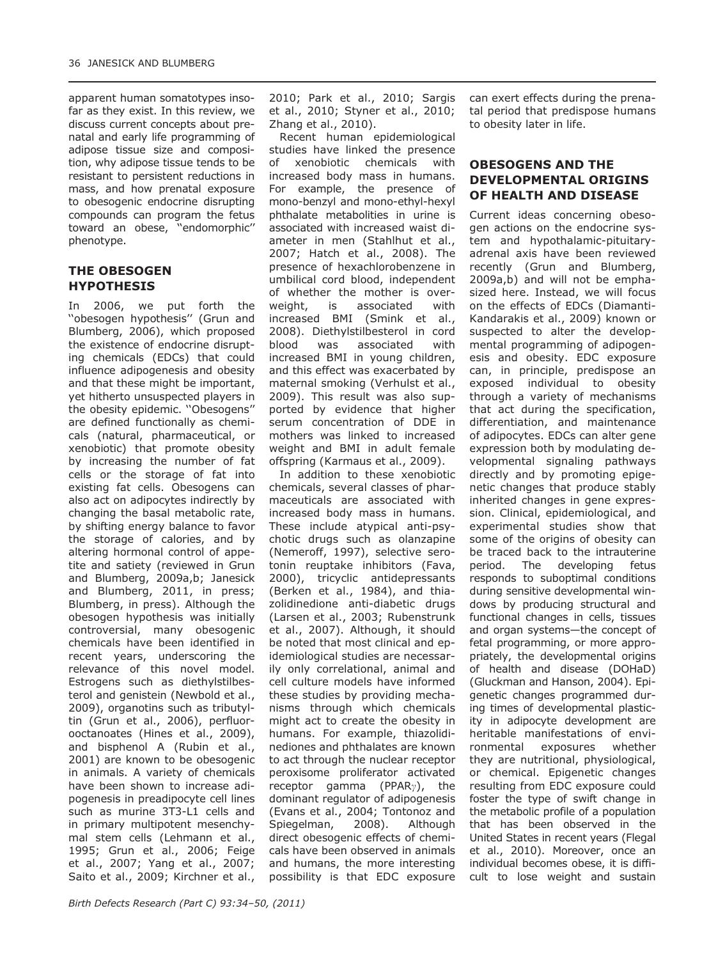apparent human somatotypes insofar as they exist. In this review, we discuss current concepts about prenatal and early life programming of adipose tissue size and composition, why adipose tissue tends to be resistant to persistent reductions in mass, and how prenatal exposure to obesogenic endocrine disrupting compounds can program the fetus toward an obese, ''endomorphic'' phenotype.

#### THE OBESOGEN HYPOTHESIS

In 2006, we put forth the ''obesogen hypothesis'' (Grun and Blumberg, 2006), which proposed the existence of endocrine disrupting chemicals (EDCs) that could influence adipogenesis and obesity and that these might be important, yet hitherto unsuspected players in the obesity epidemic. ''Obesogens'' are defined functionally as chemicals (natural, pharmaceutical, or xenobiotic) that promote obesity by increasing the number of fat cells or the storage of fat into existing fat cells. Obesogens can also act on adipocytes indirectly by changing the basal metabolic rate, by shifting energy balance to favor the storage of calories, and by altering hormonal control of appetite and satiety (reviewed in Grun and Blumberg, 2009a,b; Janesick and Blumberg, 2011, in press; Blumberg, in press). Although the obesogen hypothesis was initially controversial, many obesogenic chemicals have been identified in recent years, underscoring the relevance of this novel model. Estrogens such as diethylstilbesterol and genistein (Newbold et al., 2009), organotins such as tributyltin (Grun et al., 2006), perfluorooctanoates (Hines et al., 2009), and bisphenol A (Rubin et al., 2001) are known to be obesogenic in animals. A variety of chemicals have been shown to increase adipogenesis in preadipocyte cell lines such as murine 3T3-L1 cells and in primary multipotent mesenchymal stem cells (Lehmann et al., 1995; Grun et al., 2006; Feige et al., 2007; Yang et al., 2007; Saito et al., 2009; Kirchner et al.,

2010; Park et al., 2010; Sargis et al., 2010; Styner et al., 2010; Zhang et al., 2010).

Recent human epidemiological studies have linked the presence of xenobiotic chemicals with increased body mass in humans. For example, the presence of mono-benzyl and mono-ethyl-hexyl phthalate metabolities in urine is associated with increased waist diameter in men (Stahlhut et al., 2007; Hatch et al., 2008). The presence of hexachlorobenzene in umbilical cord blood, independent of whether the mother is overweight, is associated with increased BMI (Smink et al., 2008). Diethylstilbesterol in cord blood was associated with increased BMI in young children, and this effect was exacerbated by maternal smoking (Verhulst et al., 2009). This result was also supported by evidence that higher serum concentration of DDE in mothers was linked to increased weight and BMI in adult female offspring (Karmaus et al., 2009).

In addition to these xenobiotic chemicals, several classes of pharmaceuticals are associated with increased body mass in humans. These include atypical anti-psychotic drugs such as olanzapine (Nemeroff, 1997), selective serotonin reuptake inhibitors (Fava, 2000), tricyclic antidepressants (Berken et al., 1984), and thiazolidinedione anti-diabetic drugs (Larsen et al., 2003; Rubenstrunk et al., 2007). Although, it should be noted that most clinical and epidemiological studies are necessarily only correlational, animal and cell culture models have informed these studies by providing mechanisms through which chemicals might act to create the obesity in humans. For example, thiazolidinediones and phthalates are known to act through the nuclear receptor peroxisome proliferator activated receptor gamma (PPAR $\gamma$ ), the dominant regulator of adipogenesis (Evans et al., 2004; Tontonoz and Spiegelman, 2008). Although direct obesogenic effects of chemicals have been observed in animals and humans, the more interesting possibility is that EDC exposure can exert effects during the prenatal period that predispose humans to obesity later in life.

### OBESOGENS AND THE DEVELOPMENTAL ORIGINS OF HEALTH AND DISEASE

Current ideas concerning obesogen actions on the endocrine system and hypothalamic-pituitaryadrenal axis have been reviewed recently (Grun and Blumberg, 2009a,b) and will not be emphasized here. Instead, we will focus on the effects of EDCs (Diamanti-Kandarakis et al., 2009) known or suspected to alter the developmental programming of adipogenesis and obesity. EDC exposure can, in principle, predispose an exposed individual to obesity through a variety of mechanisms that act during the specification, differentiation, and maintenance of adipocytes. EDCs can alter gene expression both by modulating developmental signaling pathways directly and by promoting epigenetic changes that produce stably inherited changes in gene expression. Clinical, epidemiological, and experimental studies show that some of the origins of obesity can be traced back to the intrauterine period. The developing fetus responds to suboptimal conditions during sensitive developmental windows by producing structural and functional changes in cells, tissues and organ systems—the concept of fetal programming, or more appropriately, the developmental origins of health and disease (DOHaD) (Gluckman and Hanson, 2004). Epigenetic changes programmed during times of developmental plasticity in adipocyte development are heritable manifestations of environmental exposures whether they are nutritional, physiological, or chemical. Epigenetic changes resulting from EDC exposure could foster the type of swift change in the metabolic profile of a population that has been observed in the United States in recent years (Flegal et al., 2010). Moreover, once an individual becomes obese, it is difficult to lose weight and sustain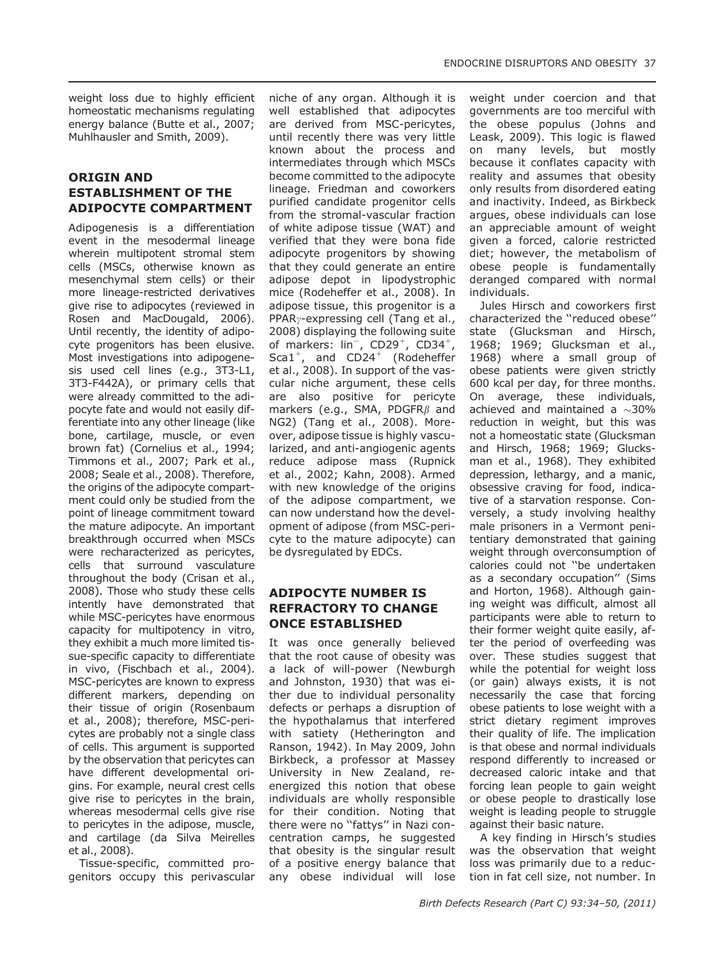weight loss due to highly efficient homeostatic mechanisms regulating energy balance (Butte et al., 2007; Muhlhausler and Smith, 2009).

#### ORIGIN AND ESTABLISHMENT OF THE ADIPOCYTE COMPARTMENT

Adipogenesis is a differentiation event in the mesodermal lineage wherein multipotent stromal stem cells (MSCs, otherwise known as mesenchymal stem cells) or their more lineage-restricted derivatives give rise to adipocytes (reviewed in Rosen and MacDougald, 2006). Until recently, the identity of adipocyte progenitors has been elusive. Most investigations into adipogenesis used cell lines (e.g., 3T3-L1, 3T3-F442A), or primary cells that were already committed to the adipocyte fate and would not easily differentiate into any other lineage (like bone, cartilage, muscle, or even brown fat) (Cornelius et al., 1994; Timmons et al., 2007; Park et al., 2008; Seale et al., 2008). Therefore, the origins of the adipocyte compartment could only be studied from the point of lineage commitment toward the mature adipocyte. An important breakthrough occurred when MSCs were recharacterized as pericytes, cells that surround vasculature throughout the body (Crisan et al., 2008). Those who study these cells intently have demonstrated that while MSC-pericytes have enormous capacity for multipotency in vitro, they exhibit a much more limited tissue-specific capacity to differentiate in vivo, (Fischbach et al., 2004). MSC-pericytes are known to express different markers, depending on their tissue of origin (Rosenbaum et al., 2008); therefore, MSC-pericytes are probably not a single class of cells. This argument is supported by the observation that pericytes can have different developmental origins. For example, neural crest cells give rise to pericytes in the brain, whereas mesodermal cells give rise to pericytes in the adipose, muscle, and cartilage (da Silva Meirelles et al., 2008).

Tissue-specific, committed progenitors occupy this perivascular niche of any organ. Although it is well established that adipocytes are derived from MSC-pericytes, until recently there was very little known about the process and intermediates through which MSCs become committed to the adipocyte lineage. Friedman and coworkers purified candidate progenitor cells from the stromal-vascular fraction of white adipose tissue (WAT) and verified that they were bona fide adipocyte progenitors by showing that they could generate an entire adipose depot in lipodystrophic mice (Rodeheffer et al., 2008). In adipose tissue, this progenitor is a PPAR<sub> $\gamma$ </sub>-expressing cell (Tang et al., 2008) displaying the following suite of markers:  $\text{lin}^-$ , CD29<sup>+</sup>, CD34<sup>+</sup>,  $Sca1^+$ , and  $CD24^+$  (Rodeheffer et al., 2008). In support of the vascular niche argument, these cells are also positive for pericyte markers (e.g., SMA, PDGFR $\beta$  and NG2) (Tang et al., 2008). Moreover, adipose tissue is highly vascularized, and anti-angiogenic agents reduce adipose mass (Rupnick et al., 2002; Kahn, 2008). Armed with new knowledge of the origins of the adipose compartment, we can now understand how the development of adipose (from MSC-pericyte to the mature adipocyte) can be dysregulated by EDCs.

# ADIPOCYTE NUMBER IS REFRACTORY TO CHANGE ONCE ESTABLISHED

It was once generally believed that the root cause of obesity was a lack of will-power (Newburgh and Johnston, 1930) that was either due to individual personality defects or perhaps a disruption of the hypothalamus that interfered with satiety (Hetherington and Ranson, 1942). In May 2009, John Birkbeck, a professor at Massey University in New Zealand, reenergized this notion that obese individuals are wholly responsible for their condition. Noting that there were no ''fattys'' in Nazi concentration camps, he suggested that obesity is the singular result of a positive energy balance that any obese individual will lose

weight under coercion and that governments are too merciful with the obese populus (Johns and Leask, 2009). This logic is flawed on many levels, but mostly because it conflates capacity with reality and assumes that obesity only results from disordered eating and inactivity. Indeed, as Birkbeck argues, obese individuals can lose an appreciable amount of weight given a forced, calorie restricted diet; however, the metabolism of obese people is fundamentally deranged compared with normal individuals.

Jules Hirsch and coworkers first characterized the ''reduced obese'' state (Glucksman and Hirsch, 1968; 1969; Glucksman et al., 1968) where a small group of obese patients were given strictly 600 kcal per day, for three months. On average, these individuals, achieved and maintained a  $\sim$ 30% reduction in weight, but this was not a homeostatic state (Glucksman and Hirsch, 1968; 1969; Glucksman et al., 1968). They exhibited depression, lethargy, and a manic, obsessive craving for food, indicative of a starvation response. Conversely, a study involving healthy male prisoners in a Vermont penitentiary demonstrated that gaining weight through overconsumption of calories could not ''be undertaken as a secondary occupation'' (Sims and Horton, 1968). Although gaining weight was difficult, almost all participants were able to return to their former weight quite easily, after the period of overfeeding was over. These studies suggest that while the potential for weight loss (or gain) always exists, it is not necessarily the case that forcing obese patients to lose weight with a strict dietary regiment improves their quality of life. The implication is that obese and normal individuals respond differently to increased or decreased caloric intake and that forcing lean people to gain weight or obese people to drastically lose weight is leading people to struggle against their basic nature.

A key finding in Hirsch's studies was the observation that weight loss was primarily due to a reduction in fat cell size, not number. In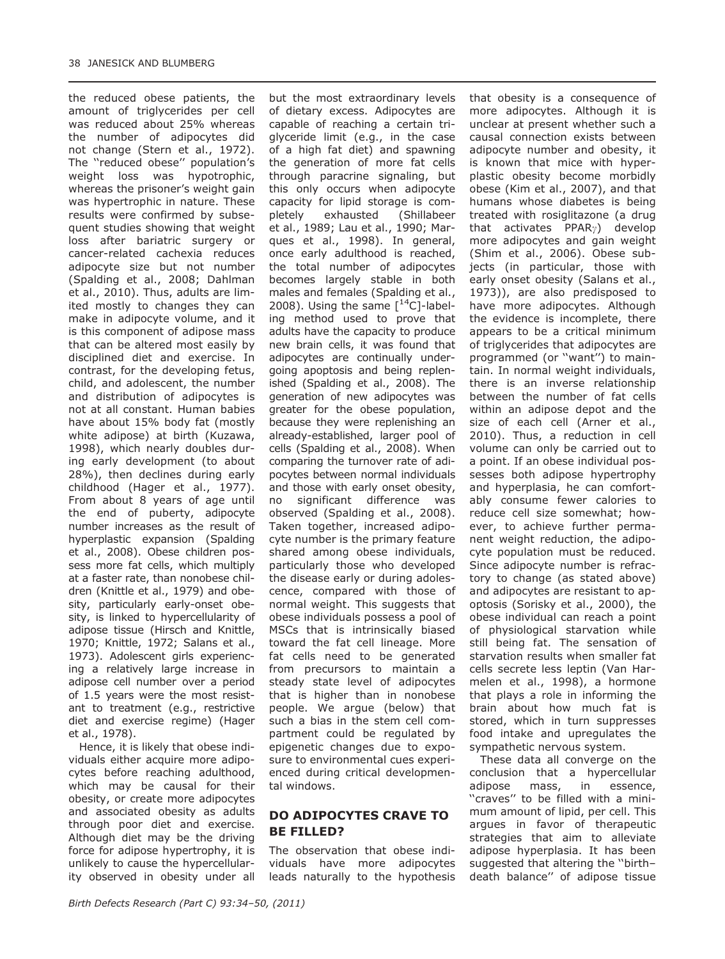the reduced obese patients, the amount of triglycerides per cell was reduced about 25% whereas the number of adipocytes did not change (Stern et al., 1972). The ''reduced obese'' population's weight loss was hypotrophic, whereas the prisoner's weight gain was hypertrophic in nature. These results were confirmed by subsequent studies showing that weight loss after bariatric surgery or cancer-related cachexia reduces adipocyte size but not number (Spalding et al., 2008; Dahlman et al., 2010). Thus, adults are limited mostly to changes they can make in adipocyte volume, and it is this component of adipose mass that can be altered most easily by disciplined diet and exercise. In contrast, for the developing fetus, child, and adolescent, the number and distribution of adipocytes is not at all constant. Human babies have about 15% body fat (mostly white adipose) at birth (Kuzawa, 1998), which nearly doubles during early development (to about 28%), then declines during early childhood (Hager et al., 1977). From about 8 years of age until the end of puberty, adipocyte number increases as the result of hyperplastic expansion (Spalding et al., 2008). Obese children possess more fat cells, which multiply at a faster rate, than nonobese children (Knittle et al., 1979) and obesity, particularly early-onset obesity, is linked to hypercellularity of adipose tissue (Hirsch and Knittle, 1970; Knittle, 1972; Salans et al., 1973). Adolescent girls experiencing a relatively large increase in adipose cell number over a period of 1.5 years were the most resistant to treatment (e.g., restrictive diet and exercise regime) (Hager et al., 1978).

Hence, it is likely that obese individuals either acquire more adipocytes before reaching adulthood, which may be causal for their obesity, or create more adipocytes and associated obesity as adults through poor diet and exercise. Although diet may be the driving force for adipose hypertrophy, it is unlikely to cause the hypercellularity observed in obesity under all

but the most extraordinary levels of dietary excess. Adipocytes are capable of reaching a certain triglyceride limit (e.g., in the case of a high fat diet) and spawning the generation of more fat cells through paracrine signaling, but this only occurs when adipocyte capacity for lipid storage is completely exhausted (Shillabeer et al., 1989; Lau et al., 1990; Marques et al., 1998). In general, once early adulthood is reached, the total number of adipocytes becomes largely stable in both males and females (Spalding et al., 2008). Using the same  $[^{14}C]$ -labeling method used to prove that adults have the capacity to produce new brain cells, it was found that adipocytes are continually undergoing apoptosis and being replenished (Spalding et al., 2008). The generation of new adipocytes was greater for the obese population, because they were replenishing an already-established, larger pool of cells (Spalding et al., 2008). When comparing the turnover rate of adipocytes between normal individuals and those with early onset obesity, no significant difference was observed (Spalding et al., 2008). Taken together, increased adipocyte number is the primary feature shared among obese individuals, particularly those who developed the disease early or during adolescence, compared with those of normal weight. This suggests that obese individuals possess a pool of MSCs that is intrinsically biased toward the fat cell lineage. More fat cells need to be generated from precursors to maintain a steady state level of adipocytes that is higher than in nonobese people. We argue (below) that such a bias in the stem cell compartment could be regulated by epigenetic changes due to exposure to environmental cues experienced during critical developmental windows.

#### DO ADIPOCYTES CRAVE TO BE FILLED?

The observation that obese individuals have more adipocytes leads naturally to the hypothesis that obesity is a consequence of more adipocytes. Although it is unclear at present whether such a causal connection exists between adipocyte number and obesity, it is known that mice with hyperplastic obesity become morbidly obese (Kim et al., 2007), and that humans whose diabetes is being treated with rosiglitazone (a drug that activates  $PPAR_{\gamma}$ ) develop more adipocytes and gain weight (Shim et al., 2006). Obese subjects (in particular, those with early onset obesity (Salans et al., 1973)), are also predisposed to have more adipocytes. Although the evidence is incomplete, there appears to be a critical minimum of triglycerides that adipocytes are programmed (or "want") to maintain. In normal weight individuals, there is an inverse relationship between the number of fat cells within an adipose depot and the size of each cell (Arner et al., 2010). Thus, a reduction in cell volume can only be carried out to a point. If an obese individual possesses both adipose hypertrophy and hyperplasia, he can comfortably consume fewer calories to reduce cell size somewhat; however, to achieve further permanent weight reduction, the adipocyte population must be reduced. Since adipocyte number is refractory to change (as stated above) and adipocytes are resistant to apoptosis (Sorisky et al., 2000), the obese individual can reach a point of physiological starvation while still being fat. The sensation of starvation results when smaller fat cells secrete less leptin (Van Harmelen et al., 1998), a hormone that plays a role in informing the brain about how much fat is stored, which in turn suppresses food intake and upregulates the sympathetic nervous system.

These data all converge on the conclusion that a hypercellular adipose mass, in essence, ''craves'' to be filled with a minimum amount of lipid, per cell. This argues in favor of therapeutic strategies that aim to alleviate adipose hyperplasia. It has been suggested that altering the ''birth– death balance'' of adipose tissue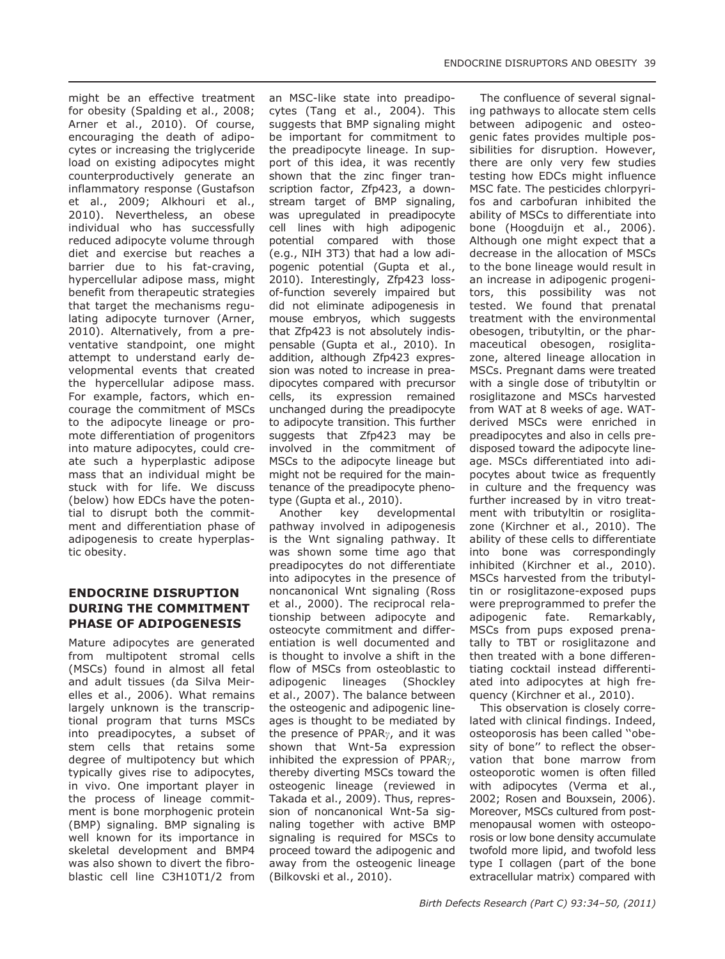might be an effective treatment for obesity (Spalding et al., 2008; Arner et al., 2010). Of course, encouraging the death of adipocytes or increasing the triglyceride load on existing adipocytes might counterproductively generate an inflammatory response (Gustafson et al., 2009; Alkhouri et al., 2010). Nevertheless, an obese individual who has successfully reduced adipocyte volume through diet and exercise but reaches a barrier due to his fat-craving, hypercellular adipose mass, might benefit from therapeutic strategies that target the mechanisms regulating adipocyte turnover (Arner, 2010). Alternatively, from a preventative standpoint, one might attempt to understand early developmental events that created the hypercellular adipose mass. For example, factors, which encourage the commitment of MSCs to the adipocyte lineage or promote differentiation of progenitors into mature adipocytes, could create such a hyperplastic adipose mass that an individual might be stuck with for life. We discuss (below) how EDCs have the potential to disrupt both the commitment and differentiation phase of adipogenesis to create hyperplastic obesity.

#### ENDOCRINE DISRUPTION DURING THE COMMITMENT PHASE OF ADIPOGENESIS

Mature adipocytes are generated from multipotent stromal cells (MSCs) found in almost all fetal and adult tissues (da Silva Meirelles et al., 2006). What remains largely unknown is the transcriptional program that turns MSCs into preadipocytes, a subset of stem cells that retains some degree of multipotency but which typically gives rise to adipocytes, in vivo. One important player in the process of lineage commitment is bone morphogenic protein (BMP) signaling. BMP signaling is well known for its importance in skeletal development and BMP4 was also shown to divert the fibroblastic cell line C3H10T1/2 from an MSC-like state into preadipocytes (Tang et al., 2004). This suggests that BMP signaling might be important for commitment to the preadipocyte lineage. In support of this idea, it was recently shown that the zinc finger transcription factor, Zfp423, a downstream target of BMP signaling, was upregulated in preadipocyte cell lines with high adipogenic potential compared with those (e.g., NIH 3T3) that had a low adipogenic potential (Gupta et al., 2010). Interestingly, Zfp423 lossof-function severely impaired but did not eliminate adipogenesis in mouse embryos, which suggests that Zfp423 is not absolutely indispensable (Gupta et al., 2010). In addition, although Zfp423 expression was noted to increase in preadipocytes compared with precursor cells, its expression remained unchanged during the preadipocyte to adipocyte transition. This further suggests that Zfp423 may be involved in the commitment of MSCs to the adipocyte lineage but might not be required for the maintenance of the preadipocyte phenotype (Gupta et al., 2010).

Another key developmental pathway involved in adipogenesis is the Wnt signaling pathway. It was shown some time ago that preadipocytes do not differentiate into adipocytes in the presence of noncanonical Wnt signaling (Ross et al., 2000). The reciprocal relationship between adipocyte and osteocyte commitment and differentiation is well documented and is thought to involve a shift in the flow of MSCs from osteoblastic to adipogenic lineages (Shockley et al., 2007). The balance between the osteogenic and adipogenic lineages is thought to be mediated by the presence of PPAR $\gamma$ , and it was shown that Wnt-5a expression inhibited the expression of PPAR $\gamma$ , thereby diverting MSCs toward the osteogenic lineage (reviewed in Takada et al., 2009). Thus, repression of noncanonical Wnt-5a signaling together with active BMP signaling is required for MSCs to proceed toward the adipogenic and away from the osteogenic lineage (Bilkovski et al., 2010).

The confluence of several signaling pathways to allocate stem cells between adipogenic and osteogenic fates provides multiple possibilities for disruption. However, there are only very few studies testing how EDCs might influence MSC fate. The pesticides chlorpyrifos and carbofuran inhibited the ability of MSCs to differentiate into bone (Hoogduijn et al., 2006). Although one might expect that a decrease in the allocation of MSCs to the bone lineage would result in an increase in adipogenic progenitors, this possibility was not tested. We found that prenatal treatment with the environmental obesogen, tributyltin, or the pharmaceutical obesogen, rosiglitazone, altered lineage allocation in MSCs. Pregnant dams were treated with a single dose of tributyltin or rosiglitazone and MSCs harvested from WAT at 8 weeks of age. WATderived MSCs were enriched in preadipocytes and also in cells predisposed toward the adipocyte lineage. MSCs differentiated into adipocytes about twice as frequently in culture and the frequency was further increased by in vitro treatment with tributyltin or rosiglitazone (Kirchner et al., 2010). The ability of these cells to differentiate into bone was correspondingly inhibited (Kirchner et al., 2010). MSCs harvested from the tributyltin or rosiglitazone-exposed pups were preprogrammed to prefer the adipogenic fate. Remarkably, MSCs from pups exposed prenatally to TBT or rosiglitazone and then treated with a bone differentiating cocktail instead differentiated into adipocytes at high frequency (Kirchner et al., 2010).

This observation is closely correlated with clinical findings. Indeed, osteoporosis has been called ''obesity of bone'' to reflect the observation that bone marrow from osteoporotic women is often filled with adipocytes (Verma et al., 2002; Rosen and Bouxsein, 2006). Moreover, MSCs cultured from postmenopausal women with osteoporosis or low bone density accumulate twofold more lipid, and twofold less type I collagen (part of the bone extracellular matrix) compared with

ENDOCRINE DISRUPTORS AND OBESITY 39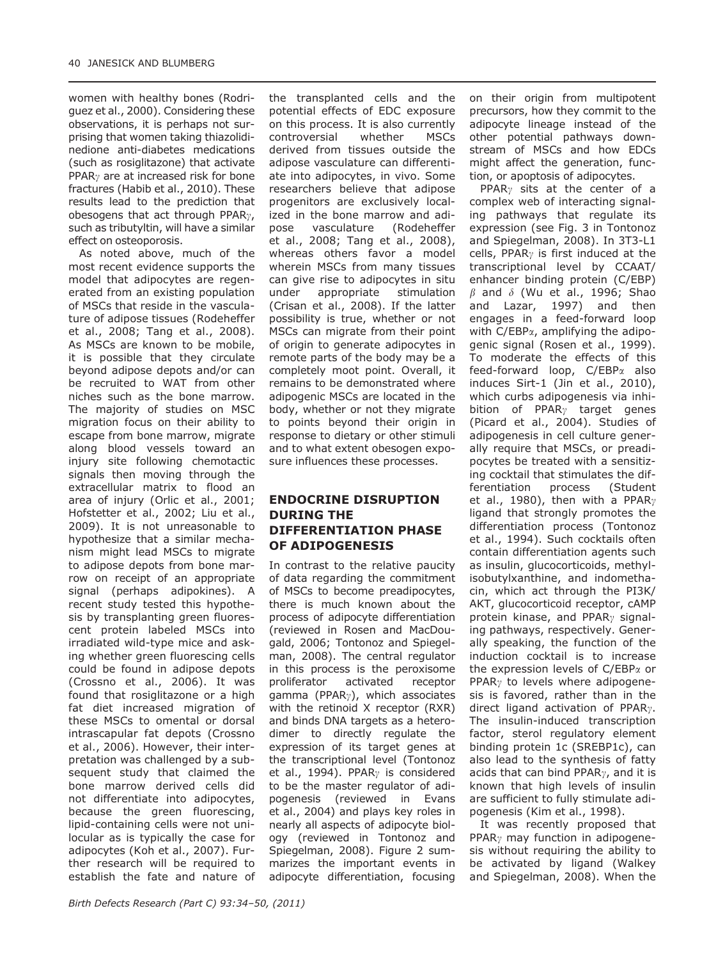women with healthy bones (Rodriguez et al., 2000). Considering these observations, it is perhaps not surprising that women taking thiazolidinedione anti-diabetes medications (such as rosiglitazone) that activate PPAR<sub> $\gamma$ </sub> are at increased risk for bone fractures (Habib et al., 2010). These results lead to the prediction that obesogens that act through PPAR $\gamma$ , such as tributyltin, will have a similar effect on osteoporosis.

As noted above, much of the most recent evidence supports the model that adipocytes are regenerated from an existing population of MSCs that reside in the vasculature of adipose tissues (Rodeheffer et al., 2008; Tang et al., 2008). As MSCs are known to be mobile, it is possible that they circulate beyond adipose depots and/or can be recruited to WAT from other niches such as the bone marrow. The majority of studies on MSC migration focus on their ability to escape from bone marrow, migrate along blood vessels toward an injury site following chemotactic signals then moving through the extracellular matrix to flood an area of injury (Orlic et al., 2001; Hofstetter et al., 2002; Liu et al., 2009). It is not unreasonable to hypothesize that a similar mechanism might lead MSCs to migrate to adipose depots from bone marrow on receipt of an appropriate signal (perhaps adipokines). A recent study tested this hypothesis by transplanting green fluorescent protein labeled MSCs into irradiated wild-type mice and asking whether green fluorescing cells could be found in adipose depots (Crossno et al., 2006). It was found that rosiglitazone or a high fat diet increased migration of these MSCs to omental or dorsal intrascapular fat depots (Crossno et al., 2006). However, their interpretation was challenged by a subsequent study that claimed the bone marrow derived cells did not differentiate into adipocytes, because the green fluorescing, lipid-containing cells were not unilocular as is typically the case for adipocytes (Koh et al., 2007). Further research will be required to establish the fate and nature of the transplanted cells and the potential effects of EDC exposure on this process. It is also currently controversial whether MSCs derived from tissues outside the adipose vasculature can differentiate into adipocytes, in vivo. Some researchers believe that adipose progenitors are exclusively localized in the bone marrow and adipose vasculature (Rodeheffer et al., 2008; Tang et al., 2008), whereas others favor a model wherein MSCs from many tissues can give rise to adipocytes in situ under appropriate stimulation (Crisan et al., 2008). If the latter possibility is true, whether or not MSCs can migrate from their point of origin to generate adipocytes in remote parts of the body may be a completely moot point. Overall, it remains to be demonstrated where adipogenic MSCs are located in the body, whether or not they migrate to points beyond their origin in response to dietary or other stimuli and to what extent obesogen exposure influences these processes.

### ENDOCRINE DISRUPTION DURING THE DIFFERENTIATION PHASE OF ADIPOGENESIS

In contrast to the relative paucity of data regarding the commitment of MSCs to become preadipocytes, there is much known about the process of adipocyte differentiation (reviewed in Rosen and MacDougald, 2006; Tontonoz and Spiegelman, 2008). The central regulator in this process is the peroxisome proliferator activated receptor gamma (PPAR $\gamma$ ), which associates with the retinoid X receptor (RXR) and binds DNA targets as a heterodimer to directly regulate the expression of its target genes at the transcriptional level (Tontonoz et al., 1994). PPAR<sub> $\gamma$ </sub> is considered to be the master regulator of adipogenesis (reviewed in Evans et al., 2004) and plays key roles in nearly all aspects of adipocyte biology (reviewed in Tontonoz and Spiegelman, 2008). Figure 2 summarizes the important events in adipocyte differentiation, focusing

on their origin from multipotent precursors, how they commit to the adipocyte lineage instead of the other potential pathways downstream of MSCs and how EDCs might affect the generation, function, or apoptosis of adipocytes.

PPAR<sub>v</sub> sits at the center of a complex web of interacting signaling pathways that regulate its expression (see Fig. 3 in Tontonoz and Spiegelman, 2008). In 3T3-L1 cells, PPAR<sub> $\gamma$ </sub> is first induced at the transcriptional level by CCAAT/ enhancer binding protein (C/EBP)  $\beta$  and  $\delta$  (Wu et al., 1996; Shao and Lazar, 1997) and then engages in a feed-forward loop with  $C/EBP_{\alpha}$ , amplifying the adipogenic signal (Rosen et al., 1999). To moderate the effects of this feed-forward loop, C/EBPa also induces Sirt-1 (Jin et al., 2010), which curbs adipogenesis via inhibition of PPAR $\gamma$  target genes (Picard et al., 2004). Studies of adipogenesis in cell culture generally require that MSCs, or preadipocytes be treated with a sensitizing cocktail that stimulates the differentiation process (Student et al., 1980), then with a PPAR $\gamma$ ligand that strongly promotes the differentiation process (Tontonoz et al., 1994). Such cocktails often contain differentiation agents such as insulin, glucocorticoids, methylisobutylxanthine, and indomethacin, which act through the PI3K/ AKT, glucocorticoid receptor, cAMP protein kinase, and PPAR<sub> $\gamma$ </sub> signaling pathways, respectively. Generally speaking, the function of the induction cocktail is to increase the expression levels of  $C/EBP<sub>\alpha</sub>$  or PPAR<sub> $\gamma$ </sub> to levels where adipogenesis is favored, rather than in the direct ligand activation of PPAR<sub>7</sub>. The insulin-induced transcription factor, sterol regulatory element binding protein 1c (SREBP1c), can also lead to the synthesis of fatty acids that can bind PPAR $\gamma$ , and it is known that high levels of insulin are sufficient to fully stimulate adipogenesis (Kim et al., 1998).

It was recently proposed that PPAR $\gamma$  may function in adipogenesis without requiring the ability to be activated by ligand (Walkey and Spiegelman, 2008). When the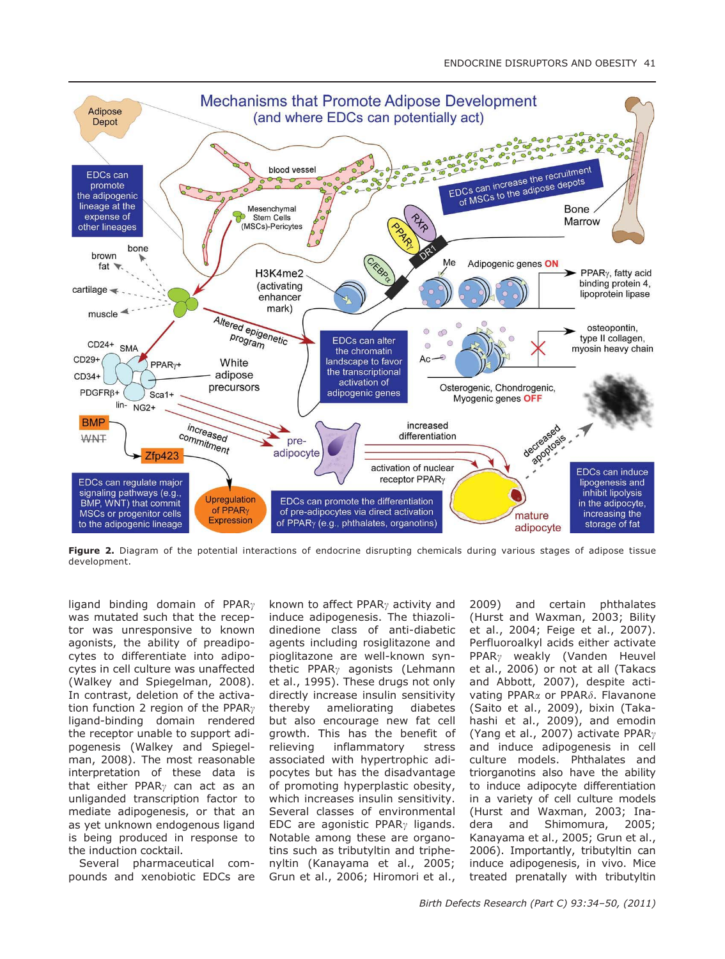

Figure 2. Diagram of the potential interactions of endocrine disrupting chemicals during various stages of adipose tissue development.

ligand binding domain of PPAR<sub> $\gamma$ </sub> was mutated such that the receptor was unresponsive to known agonists, the ability of preadipocytes to differentiate into adipocytes in cell culture was unaffected (Walkey and Spiegelman, 2008). In contrast, deletion of the activation function 2 region of the PPAR $\gamma$ ligand-binding domain rendered the receptor unable to support adipogenesis (Walkey and Spiegelman, 2008). The most reasonable interpretation of these data is that either PPAR<sub> $\gamma$ </sub> can act as an unliganded transcription factor to mediate adipogenesis, or that an as yet unknown endogenous ligand is being produced in response to the induction cocktail.

Several pharmaceutical compounds and xenobiotic EDCs are known to affect PPAR<sub> $\gamma$ </sub> activity and induce adipogenesis. The thiazolidinedione class of anti-diabetic agents including rosiglitazone and pioglitazone are well-known synthetic PPAR $\gamma$  agonists (Lehmann et al., 1995). These drugs not only directly increase insulin sensitivity thereby ameliorating diabetes but also encourage new fat cell growth. This has the benefit of relieving inflammatory stress associated with hypertrophic adipocytes but has the disadvantage of promoting hyperplastic obesity, which increases insulin sensitivity. Several classes of environmental EDC are agonistic PPAR<sub> $\gamma$ </sub> ligands. Notable among these are organotins such as tributyltin and triphenyltin (Kanayama et al., 2005; Grun et al., 2006; Hiromori et al.,

2009) and certain phthalates (Hurst and Waxman, 2003; Bility et al., 2004; Feige et al., 2007). Perfluoroalkyl acids either activate  $PPAR<sub>y</sub>$  weakly (Vanden Heuvel et al., 2006) or not at all (Takacs and Abbott, 2007), despite activating PPAR<sub>a</sub> or PPAR<sub>b</sub>. Flavanone (Saito et al., 2009), bixin (Takahashi et al., 2009), and emodin (Yang et al., 2007) activate PPAR $\gamma$ and induce adipogenesis in cell culture models. Phthalates and triorganotins also have the ability to induce adipocyte differentiation in a variety of cell culture models (Hurst and Waxman, 2003; Inadera and Shimomura, 2005; Kanayama et al., 2005; Grun et al., 2006). Importantly, tributyltin can induce adipogenesis, in vivo. Mice treated prenatally with tributyltin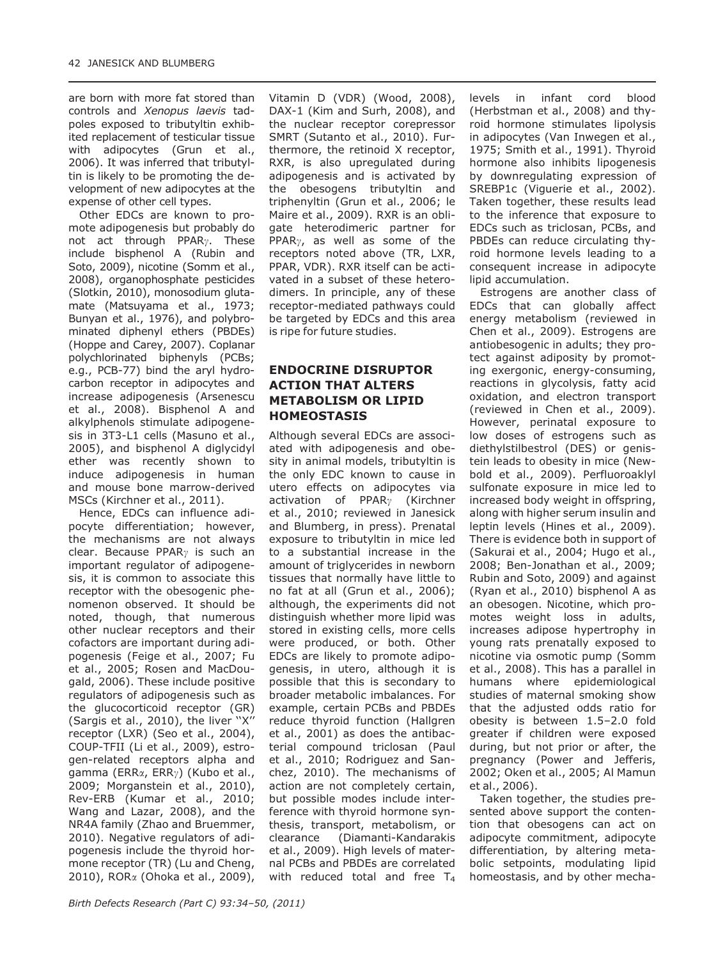are born with more fat stored than controls and Xenopus laevis tadpoles exposed to tributyltin exhibited replacement of testicular tissue with adipocytes (Grun et al., 2006). It was inferred that tributyltin is likely to be promoting the development of new adipocytes at the expense of other cell types.

Other EDCs are known to promote adipogenesis but probably do not act through PPAR $\gamma$ . These include bisphenol A (Rubin and Soto, 2009), nicotine (Somm et al., 2008), organophosphate pesticides (Slotkin, 2010), monosodium glutamate (Matsuyama et al., 1973; Bunyan et al., 1976), and polybrominated diphenyl ethers (PBDEs) (Hoppe and Carey, 2007). Coplanar polychlorinated biphenyls (PCBs; e.g., PCB-77) bind the aryl hydrocarbon receptor in adipocytes and increase adipogenesis (Arsenescu et al., 2008). Bisphenol A and alkylphenols stimulate adipogenesis in 3T3-L1 cells (Masuno et al., 2005), and bisphenol A diglycidyl ether was recently shown to induce adipogenesis in human and mouse bone marrow-derived MSCs (Kirchner et al., 2011).

Hence, EDCs can influence adipocyte differentiation; however, the mechanisms are not always clear. Because PPAR<sub> $\gamma$ </sub> is such an important regulator of adipogenesis, it is common to associate this receptor with the obesogenic phenomenon observed. It should be noted, though, that numerous other nuclear receptors and their cofactors are important during adipogenesis (Feige et al., 2007; Fu et al., 2005; Rosen and MacDougald, 2006). These include positive regulators of adipogenesis such as the glucocorticoid receptor (GR) (Sargis et al., 2010), the liver "X" receptor (LXR) (Seo et al., 2004), COUP-TFII (Li et al., 2009), estrogen-related receptors alpha and gamma (ERR $\alpha$ , ERR $\gamma$ ) (Kubo et al., 2009; Morganstein et al., 2010), Rev-ERB (Kumar et al., 2010; Wang and Lazar, 2008), and the NR4A family (Zhao and Bruemmer, 2010). Negative regulators of adipogenesis include the thyroid hormone receptor (TR) (Lu and Cheng, 2010), RORa (Ohoka et al., 2009), Vitamin D (VDR) (Wood, 2008), DAX-1 (Kim and Surh, 2008), and the nuclear receptor corepressor SMRT (Sutanto et al., 2010). Furthermore, the retinoid X receptor, RXR, is also upregulated during adipogenesis and is activated by the obesogens tributyltin and triphenyltin (Grun et al., 2006; le Maire et al., 2009). RXR is an obligate heterodimeric partner for PPAR $\gamma$ , as well as some of the receptors noted above (TR, LXR, PPAR, VDR). RXR itself can be activated in a subset of these heterodimers. In principle, any of these receptor-mediated pathways could be targeted by EDCs and this area is ripe for future studies.

### ENDOCRINE DISRUPTOR ACTION THAT ALTERS METABOLISM OR LIPID HOMEOSTASIS

Although several EDCs are associated with adipogenesis and obesity in animal models, tributyltin is the only EDC known to cause in utero effects on adipocytes via activation of  $PPAR<sub>Y</sub>$  (Kirchner et al., 2010; reviewed in Janesick and Blumberg, in press). Prenatal exposure to tributyltin in mice led to a substantial increase in the amount of triglycerides in newborn tissues that normally have little to no fat at all (Grun et al., 2006); although, the experiments did not distinguish whether more lipid was stored in existing cells, more cells were produced, or both. Other EDCs are likely to promote adipogenesis, in utero, although it is possible that this is secondary to broader metabolic imbalances. For example, certain PCBs and PBDEs reduce thyroid function (Hallgren et al., 2001) as does the antibacterial compound triclosan (Paul et al., 2010; Rodriguez and Sanchez, 2010). The mechanisms of action are not completely certain, but possible modes include interference with thyroid hormone synthesis, transport, metabolism, or clearance (Diamanti-Kandarakis et al., 2009). High levels of maternal PCBs and PBDEs are correlated with reduced total and free  $T_4$  levels in infant cord blood (Herbstman et al., 2008) and thyroid hormone stimulates lipolysis in adipocytes (Van Inwegen et al., 1975; Smith et al., 1991). Thyroid hormone also inhibits lipogenesis by downregulating expression of SREBP1c (Viguerie et al., 2002). Taken together, these results lead to the inference that exposure to EDCs such as triclosan, PCBs, and PBDEs can reduce circulating thyroid hormone levels leading to a consequent increase in adipocyte lipid accumulation.

Estrogens are another class of EDCs that can globally affect energy metabolism (reviewed in Chen et al., 2009). Estrogens are antiobesogenic in adults; they protect against adiposity by promoting exergonic, energy-consuming, reactions in glycolysis, fatty acid oxidation, and electron transport (reviewed in Chen et al., 2009). However, perinatal exposure to low doses of estrogens such as diethylstilbestrol (DES) or genistein leads to obesity in mice (Newbold et al., 2009). Perfluoroaklyl sulfonate exposure in mice led to increased body weight in offspring, along with higher serum insulin and leptin levels (Hines et al., 2009). There is evidence both in support of (Sakurai et al., 2004; Hugo et al., 2008; Ben-Jonathan et al., 2009; Rubin and Soto, 2009) and against (Ryan et al., 2010) bisphenol A as an obesogen. Nicotine, which promotes weight loss in adults, increases adipose hypertrophy in young rats prenatally exposed to nicotine via osmotic pump (Somm et al., 2008). This has a parallel in humans where epidemiological studies of maternal smoking show that the adjusted odds ratio for obesity is between 1.5–2.0 fold greater if children were exposed during, but not prior or after, the pregnancy (Power and Jefferis, 2002; Oken et al., 2005; Al Mamun et al., 2006).

Taken together, the studies presented above support the contention that obesogens can act on adipocyte commitment, adipocyte differentiation, by altering metabolic setpoints, modulating lipid homeostasis, and by other mecha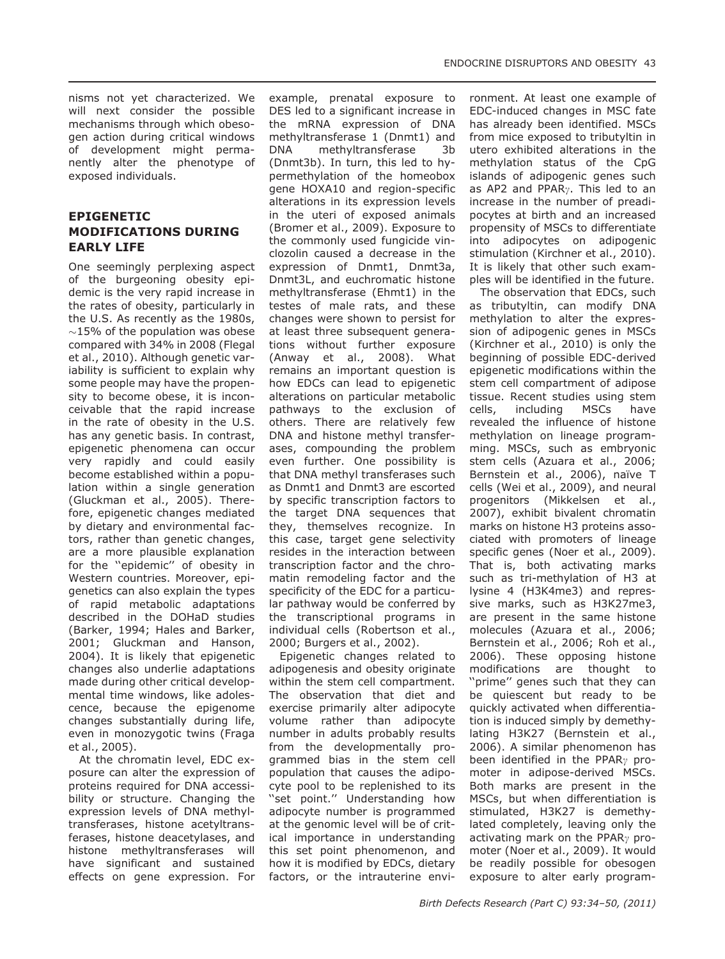nisms not yet characterized. We will next consider the possible mechanisms through which obesogen action during critical windows of development might permanently alter the phenotype of exposed individuals.

#### EPIGENETIC MODIFICATIONS DURING EARLY LIFE

One seemingly perplexing aspect of the burgeoning obesity epidemic is the very rapid increase in the rates of obesity, particularly in the U.S. As recently as the 1980s,  $\sim$ 15% of the population was obese compared with 34% in 2008 (Flegal et al., 2010). Although genetic variability is sufficient to explain why some people may have the propensity to become obese, it is inconceivable that the rapid increase in the rate of obesity in the U.S. has any genetic basis. In contrast, epigenetic phenomena can occur very rapidly and could easily become established within a population within a single generation (Gluckman et al., 2005). Therefore, epigenetic changes mediated by dietary and environmental factors, rather than genetic changes, are a more plausible explanation for the ''epidemic'' of obesity in Western countries. Moreover, epigenetics can also explain the types of rapid metabolic adaptations described in the DOHaD studies (Barker, 1994; Hales and Barker, 2001; Gluckman and Hanson, 2004). It is likely that epigenetic changes also underlie adaptations made during other critical developmental time windows, like adolescence, because the epigenome changes substantially during life, even in monozygotic twins (Fraga et al., 2005).

At the chromatin level, EDC exposure can alter the expression of proteins required for DNA accessibility or structure. Changing the expression levels of DNA methyltransferases, histone acetyltransferases, histone deacetylases, and histone methyltransferases will have significant and sustained effects on gene expression. For example, prenatal exposure to DES led to a significant increase in the mRNA expression of DNA methyltransferase 1 (Dnmt1) and DNA methyltransferase 3b (Dnmt3b). In turn, this led to hypermethylation of the homeobox gene HOXA10 and region-specific alterations in its expression levels in the uteri of exposed animals (Bromer et al., 2009). Exposure to the commonly used fungicide vinclozolin caused a decrease in the expression of Dnmt1, Dnmt3a, Dnmt3L, and euchromatic histone methyltransferase (Ehmt1) in the testes of male rats, and these changes were shown to persist for at least three subsequent generations without further exposure (Anway et al., 2008). What remains an important question is how EDCs can lead to epigenetic alterations on particular metabolic pathways to the exclusion of others. There are relatively few DNA and histone methyl transferases, compounding the problem even further. One possibility is that DNA methyl transferases such as Dnmt1 and Dnmt3 are escorted by specific transcription factors to the target DNA sequences that they, themselves recognize. In this case, target gene selectivity resides in the interaction between transcription factor and the chromatin remodeling factor and the specificity of the EDC for a particular pathway would be conferred by the transcriptional programs in individual cells (Robertson et al., 2000; Burgers et al., 2002).

Epigenetic changes related to adipogenesis and obesity originate within the stem cell compartment. The observation that diet and exercise primarily alter adipocyte volume rather than adipocyte number in adults probably results from the developmentally programmed bias in the stem cell population that causes the adipocyte pool to be replenished to its ''set point.'' Understanding how adipocyte number is programmed at the genomic level will be of critical importance in understanding this set point phenomenon, and how it is modified by EDCs, dietary factors, or the intrauterine envi-

ronment. At least one example of EDC-induced changes in MSC fate has already been identified. MSCs from mice exposed to tributyltin in utero exhibited alterations in the methylation status of the CpG islands of adipogenic genes such as AP2 and PPAR<sub>7</sub>. This led to an increase in the number of preadipocytes at birth and an increased propensity of MSCs to differentiate into adipocytes on adipogenic stimulation (Kirchner et al., 2010). It is likely that other such examples will be identified in the future.

The observation that EDCs, such as tributyltin, can modify DNA methylation to alter the expression of adipogenic genes in MSCs (Kirchner et al., 2010) is only the beginning of possible EDC-derived epigenetic modifications within the stem cell compartment of adipose tissue. Recent studies using stem cells, including MSCs have revealed the influence of histone methylation on lineage programming. MSCs, such as embryonic stem cells (Azuara et al., 2006; Bernstein et al., 2006), naïve T cells (Wei et al., 2009), and neural progenitors (Mikkelsen et al., 2007), exhibit bivalent chromatin marks on histone H3 proteins associated with promoters of lineage specific genes (Noer et al., 2009). That is, both activating marks such as tri-methylation of H3 at lysine 4 (H3K4me3) and repressive marks, such as H3K27me3, are present in the same histone molecules (Azuara et al., 2006; Bernstein et al., 2006; Roh et al., 2006). These opposing histone modifications are thought to ''prime'' genes such that they can be quiescent but ready to be quickly activated when differentiation is induced simply by demethylating H3K27 (Bernstein et al., 2006). A similar phenomenon has been identified in the PPAR<sub> $\gamma$ </sub> promoter in adipose-derived MSCs. Both marks are present in the MSCs, but when differentiation is stimulated, H3K27 is demethylated completely, leaving only the activating mark on the PPAR<sub> $\gamma$ </sub> promoter (Noer et al., 2009). It would be readily possible for obesogen exposure to alter early program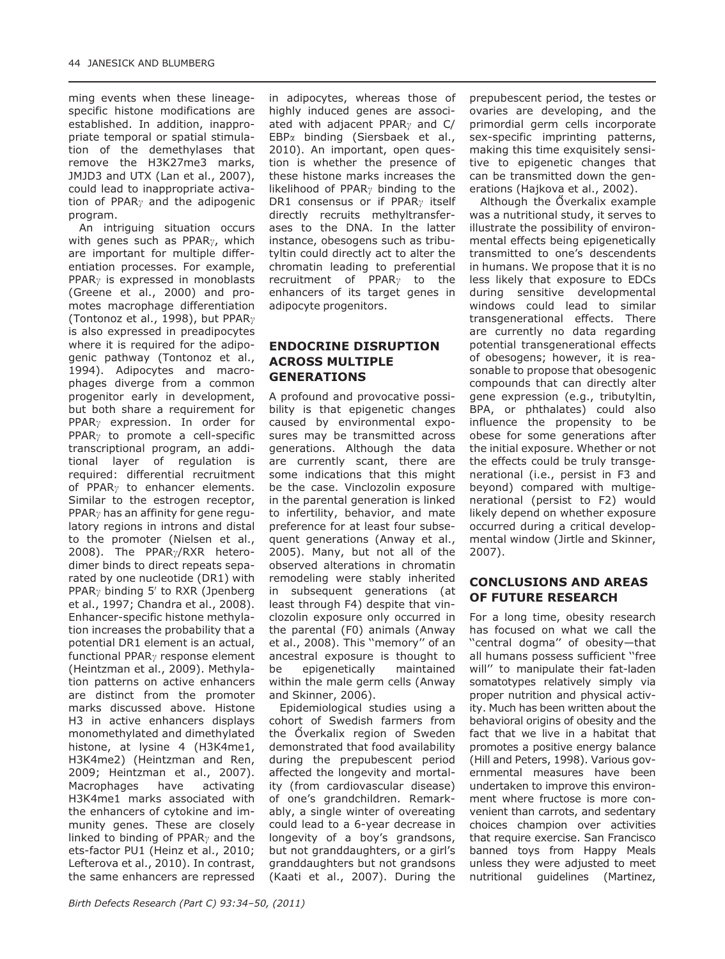ming events when these lineagespecific histone modifications are established. In addition, inappropriate temporal or spatial stimulation of the demethylases that remove the H3K27me3 marks, JMJD3 and UTX (Lan et al., 2007), could lead to inappropriate activation of PPAR<sub> $\gamma$ </sub> and the adipogenic program.

An intriguing situation occurs with genes such as PPAR $\gamma$ , which are important for multiple differentiation processes. For example, PPAR<sub> $\gamma$ </sub> is expressed in monoblasts (Greene et al., 2000) and promotes macrophage differentiation (Tontonoz et al., 1998), but PPAR $\gamma$ is also expressed in preadipocytes where it is required for the adipogenic pathway (Tontonoz et al., 1994). Adipocytes and macrophages diverge from a common progenitor early in development, but both share a requirement for PPAR<sub> $\gamma$ </sub> expression. In order for PPAR $\gamma$  to promote a cell-specific transcriptional program, an additional layer of regulation is required: differential recruitment of PPAR $\gamma$  to enhancer elements. Similar to the estrogen receptor, PPAR<sub> $\gamma$ </sub> has an affinity for gene regulatory regions in introns and distal to the promoter (Nielsen et al., 2008). The PPAR $\gamma$ /RXR heterodimer binds to direct repeats separated by one nucleotide (DR1) with PPAR<sub> $\gamma$ </sub> binding 5<sup>'</sup> to RXR (Jpenberg et al., 1997; Chandra et al., 2008). Enhancer-specific histone methylation increases the probability that a potential DR1 element is an actual, functional PPAR $\gamma$  response element (Heintzman et al., 2009). Methylation patterns on active enhancers are distinct from the promoter marks discussed above. Histone H3 in active enhancers displays monomethylated and dimethylated histone, at lysine 4 (H3K4me1, H3K4me2) (Heintzman and Ren, 2009; Heintzman et al., 2007). Macrophages have activating H3K4me1 marks associated with the enhancers of cytokine and immunity genes. These are closely linked to binding of PPAR<sub> $\gamma$ </sub> and the ets-factor PU1 (Heinz et al., 2010; Lefterova et al., 2010). In contrast, the same enhancers are repressed

in adipocytes, whereas those of highly induced genes are associated with adjacent PPAR<sub> $\gamma$ </sub> and C/ EBPa binding (Siersbaek et al., 2010). An important, open question is whether the presence of these histone marks increases the likelihood of PPAR<sub>v</sub> binding to the DR1 consensus or if PPAR<sub> $\gamma$ </sub> itself directly recruits methyltransferases to the DNA. In the latter instance, obesogens such as tributyltin could directly act to alter the chromatin leading to preferential recruitment of  $PPAR<sub>Y</sub>$  to the enhancers of its target genes in adipocyte progenitors.

## ENDOCRINE DISRUPTION ACROSS MULTIPLE GENERATIONS

A profound and provocative possibility is that epigenetic changes caused by environmental exposures may be transmitted across generations. Although the data are currently scant, there are some indications that this might be the case. Vinclozolin exposure in the parental generation is linked to infertility, behavior, and mate preference for at least four subsequent generations (Anway et al., 2005). Many, but not all of the observed alterations in chromatin remodeling were stably inherited in subsequent generations (at least through F4) despite that vinclozolin exposure only occurred in the parental (F0) animals (Anway et al., 2008). This ''memory'' of an ancestral exposure is thought to be epigenetically maintained within the male germ cells (Anway and Skinner, 2006).

Epidemiological studies using a cohort of Swedish farmers from the Överkalix region of Sweden demonstrated that food availability during the prepubescent period affected the longevity and mortality (from cardiovascular disease) of one's grandchildren. Remarkably, a single winter of overeating could lead to a 6-year decrease in longevity of a boy's grandsons, but not granddaughters, or a girl's granddaughters but not grandsons (Kaati et al., 2007). During the prepubescent period, the testes or ovaries are developing, and the primordial germ cells incorporate sex-specific imprinting patterns, making this time exquisitely sensitive to epigenetic changes that can be transmitted down the generations (Hajkova et al., 2002).

Although the Överkalix example was a nutritional study, it serves to illustrate the possibility of environmental effects being epigenetically transmitted to one's descendents in humans. We propose that it is no less likely that exposure to EDCs during sensitive developmental windows could lead to similar transgenerational effects. There are currently no data regarding potential transgenerational effects of obesogens; however, it is reasonable to propose that obesogenic compounds that can directly alter gene expression (e.g., tributyltin, BPA, or phthalates) could also influence the propensity to be obese for some generations after the initial exposure. Whether or not the effects could be truly transgenerational (i.e., persist in F3 and beyond) compared with multigenerational (persist to F2) would likely depend on whether exposure occurred during a critical developmental window (Jirtle and Skinner, 2007).

#### CONCLUSIONS AND AREAS OF FUTURE RESEARCH

For a long time, obesity research has focused on what we call the ''central dogma'' of obesity—that all humans possess sufficient ''free will'' to manipulate their fat-laden somatotypes relatively simply via proper nutrition and physical activity. Much has been written about the behavioral origins of obesity and the fact that we live in a habitat that promotes a positive energy balance (Hill and Peters, 1998). Various governmental measures have been undertaken to improve this environment where fructose is more convenient than carrots, and sedentary choices champion over activities that require exercise. San Francisco banned toys from Happy Meals unless they were adjusted to meet nutritional guidelines (Martinez,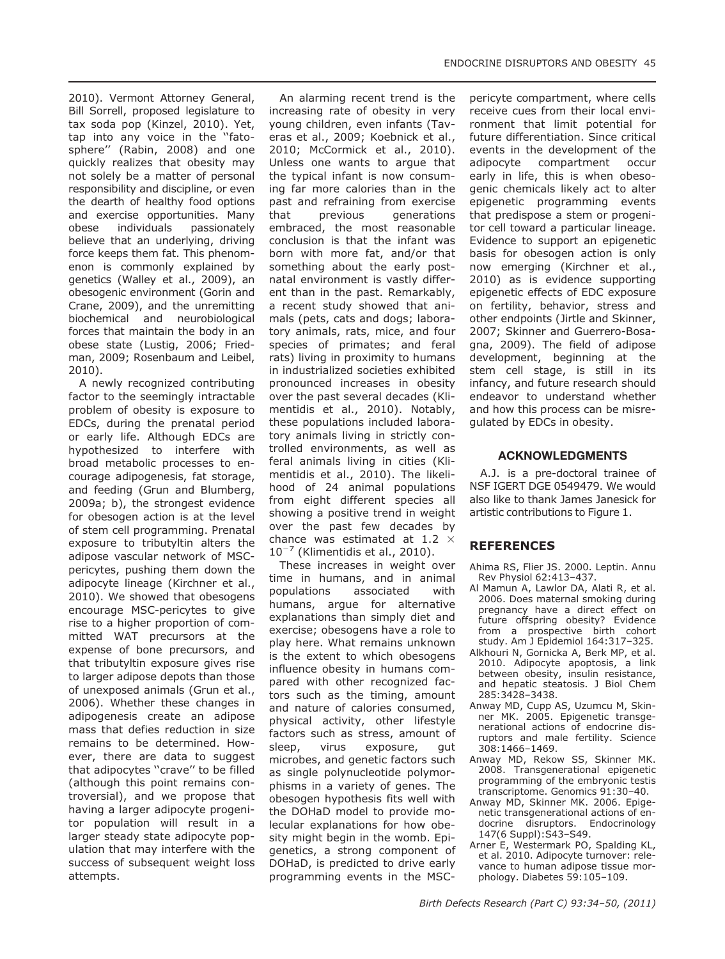2010). Vermont Attorney General, Bill Sorrell, proposed legislature to tax soda pop (Kinzel, 2010). Yet, tap into any voice in the ''fatosphere'' (Rabin, 2008) and one quickly realizes that obesity may not solely be a matter of personal responsibility and discipline, or even the dearth of healthy food options and exercise opportunities. Many obese individuals passionately believe that an underlying, driving force keeps them fat. This phenomenon is commonly explained by genetics (Walley et al., 2009), an obesogenic environment (Gorin and Crane, 2009), and the unremitting biochemical and neurobiological forces that maintain the body in an obese state (Lustig, 2006; Friedman, 2009; Rosenbaum and Leibel, 2010).

A newly recognized contributing factor to the seemingly intractable problem of obesity is exposure to EDCs, during the prenatal period or early life. Although EDCs are hypothesized to interfere with broad metabolic processes to encourage adipogenesis, fat storage, and feeding (Grun and Blumberg, 2009a; b), the strongest evidence for obesogen action is at the level of stem cell programming. Prenatal exposure to tributyltin alters the adipose vascular network of MSCpericytes, pushing them down the adipocyte lineage (Kirchner et al., 2010). We showed that obesogens encourage MSC-pericytes to give rise to a higher proportion of committed WAT precursors at the expense of bone precursors, and that tributyltin exposure gives rise to larger adipose depots than those of unexposed animals (Grun et al., 2006). Whether these changes in adipogenesis create an adipose mass that defies reduction in size remains to be determined. However, there are data to suggest that adipocytes ''crave'' to be filled (although this point remains controversial), and we propose that having a larger adipocyte progenitor population will result in a larger steady state adipocyte population that may interfere with the success of subsequent weight loss attempts.

An alarming recent trend is the increasing rate of obesity in very young children, even infants (Taveras et al., 2009; Koebnick et al., 2010; McCormick et al., 2010). Unless one wants to argue that the typical infant is now consuming far more calories than in the past and refraining from exercise that previous generations embraced, the most reasonable conclusion is that the infant was born with more fat, and/or that something about the early postnatal environment is vastly different than in the past. Remarkably, a recent study showed that animals (pets, cats and dogs; laboratory animals, rats, mice, and four species of primates; and feral rats) living in proximity to humans in industrialized societies exhibited pronounced increases in obesity over the past several decades (Klimentidis et al., 2010). Notably, these populations included laboratory animals living in strictly controlled environments, as well as feral animals living in cities (Klimentidis et al., 2010). The likelihood of 24 animal populations from eight different species all showing a positive trend in weight over the past few decades by chance was estimated at 1.2  $\times$  $10^{-7}$  (Klimentidis et al., 2010).

These increases in weight over time in humans, and in animal<br>populations associated with populations associated with humans, argue for alternative explanations than simply diet and exercise; obesogens have a role to play here. What remains unknown is the extent to which obesogens influence obesity in humans compared with other recognized factors such as the timing, amount and nature of calories consumed, physical activity, other lifestyle factors such as stress, amount of sleep, virus exposure, gut microbes, and genetic factors such as single polynucleotide polymorphisms in a variety of genes. The obesogen hypothesis fits well with the DOHaD model to provide molecular explanations for how obesity might begin in the womb. Epigenetics, a strong component of DOHaD, is predicted to drive early programming events in the MSC-

pericyte compartment, where cells receive cues from their local environment that limit potential for future differentiation. Since critical events in the development of the adipocyte compartment occur early in life, this is when obesogenic chemicals likely act to alter epigenetic programming events that predispose a stem or progenitor cell toward a particular lineage. Evidence to support an epigenetic basis for obesogen action is only now emerging (Kirchner et al., 2010) as is evidence supporting epigenetic effects of EDC exposure on fertility, behavior, stress and other endpoints (Jirtle and Skinner, 2007; Skinner and Guerrero-Bosagna, 2009). The field of adipose development, beginning at the stem cell stage, is still in its infancy, and future research should endeavor to understand whether and how this process can be misregulated by EDCs in obesity.

#### ACKNOWLEDGMENTS

A.J. is a pre-doctoral trainee of NSF IGERT DGE 0549479. We would also like to thank James Janesick for artistic contributions to Figure 1.

#### REFERENCES

- Ahima RS, Flier JS. 2000. Leptin. Annu Rev Physiol 62:413–437.
- Al Mamun A, Lawlor DA, Alati R, et al. 2006. Does maternal smoking during pregnancy have a direct effect on future offspring obesity? Evidence from a prospective birth cohort study. Am J Epidemiol 164:317–325.
- Alkhouri N, Gornicka A, Berk MP, et al. 2010. Adipocyte apoptosis, a link between obesity, insulin resistance, and hepatic steatosis. J Biol Chem 285:3428–3438.
- Anway MD, Cupp AS, Uzumcu M, Skinner MK. 2005. Epigenetic transgenerational actions of endocrine disruptors and male fertility. Science 308:1466–1469.
- Anway MD, Rekow SS, Skinner MK. 2008. Transgenerational epigenetic programming of the embryonic testis transcriptome. Genomics 91:30–40.
- Anway MD, Skinner MK. 2006. Epigenetic transgenerational actions of endocrine disruptors. Endocrinology 147(6 Suppl):S43–S49.
- Arner E, Westermark PO, Spalding KL, et al. 2010. Adipocyte turnover: relevance to human adipose tissue morphology. Diabetes 59:105–109.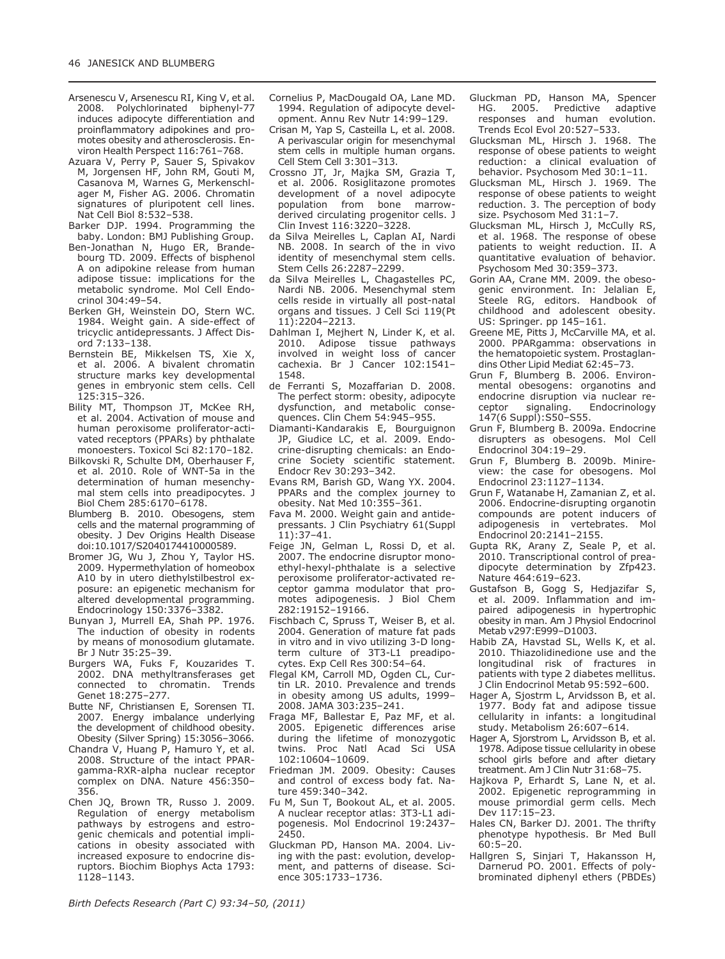- Arsenescu V, Arsenescu RI, King V, et al. 2008. Polychlorinated biphenyl-77 induces adipocyte differentiation and proinflammatory adipokines and promotes obesity and atherosclerosis. Environ Health Perspect 116:761–768.
- Azuara V, Perry P, Sauer S, Spivakov M, Jorgensen HF, John RM, Gouti M, Casanova M, Warnes G, Merkenschlager M, Fisher AG. 2006. Chromatin signatures of pluripotent cell lines. Nat Cell Biol 8:532–538.
- Barker DJP. 1994. Programming the baby. London: BMJ Publishing Group.
- Ben-Jonathan N, Hugo ER, Brandebourg TD. 2009. Effects of bisphenol A on adipokine release from human adipose tissue: implications for the metabolic syndrome. Mol Cell Endocrinol 304:49–54.
- Berken GH, Weinstein DO, Stern WC. 1984. Weight gain. A side-effect of tricyclic antidepressants. J Affect Disord 7:133–138.
- Bernstein BE, Mikkelsen TS, Xie X, et al. 2006. A bivalent chromatin structure marks key developmental genes in embryonic stem cells. Cell 125:315–326.
- Bility MT, Thompson JT, McKee RH, et al. 2004. Activation of mouse and human peroxisome proliferator-activated receptors (PPARs) by phthalate monoesters. Toxicol Sci 82:170–182.
- Bilkovski R, Schulte DM, Oberhauser F, et al. 2010. Role of WNT-5a in the determination of human mesenchymal stem cells into preadipocytes. J Biol Chem 285:6170–6178.
- Blumberg B. 2010. Obesogens, stem cells and the maternal programming of obesity. J Dev Origins Health Disease doi:10.1017/S2040174410000589.
- Bromer JG, Wu J, Zhou Y, Taylor HS. 2009. Hypermethylation of homeobox A10 by in utero diethylstilbestrol exposure: an epigenetic mechanism for altered developmental programming. Endocrinology 150:3376–3382.
- Bunyan J, Murrell EA, Shah PP. 1976. The induction of obesity in rodents by means of monosodium glutamate. Br J Nutr 35:25–39.
- Burgers WA, Fuks F, Kouzarides T. 2002. DNA methyltransferases get connected to chromatin. Trends Genet 18:275–277.
- Butte NF, Christiansen E, Sorensen TI. 2007. Energy imbalance underlying the development of childhood obesity. Obesity (Silver Spring) 15:3056–3066.
- Chandra V, Huang P, Hamuro Y, et al. 2008. Structure of the intact PPARgamma-RXR-alpha nuclear receptor complex on DNA. Nature 456:350– 356.
- Chen JQ, Brown TR, Russo J. 2009. Regulation of energy metabolism pathways by estrogens and estrogenic chemicals and potential implications in obesity associated with increased exposure to endocrine disruptors. Biochim Biophys Acta 1793: 1128–1143.
- Cornelius P, MacDougald OA, Lane MD. 1994. Regulation of adipocyte development. Annu Rev Nutr 14:99–129.
- Crisan M, Yap S, Casteilla L, et al. 2008. A perivascular origin for mesenchymal stem cells in multiple human organs. Cell Stem Cell 3:301–313.
- Crossno JT, Jr, Majka SM, Grazia T, et al. 2006. Rosiglitazone promotes development of a novel adipocyte<br>population from bone marrowpopulation from bone derived circulating progenitor cells. J Clin Invest 116:3220–3228.
- da Silva Meirelles L, Caplan AI, Nardi NB. 2008. In search of the in vivo identity of mesenchymal stem cells. Stem Cells 26:2287–2299.
- da Silva Meirelles L, Chagastelles PC, Nardi NB. 2006. Mesenchymal stem cells reside in virtually all post-natal organs and tissues. J Cell Sci 119(Pt 11):2204–2213.
- Dahlman I, Mejhert N, Linder K, et al. 2010. Adipose tissue pathways involved in weight loss of cancer cachexia. Br J Cancer 102:1541– 1548.
- de Ferranti S, Mozaffarian D. 2008. The perfect storm: obesity, adipocyte dysfunction, and metabolic consequences. Clin Chem 54:945–955.
- Diamanti-Kandarakis E, Bourguignon JP, Giudice LC, et al. 2009. Endocrine-disrupting chemicals: an Endocrine Society scientific statement. Endocr Rev 30:293–342.
- Evans RM, Barish GD, Wang YX. 2004. PPARs and the complex journey to obesity. Nat Med 10:355–361.
- Fava M. 2000. Weight gain and antidepressants. J Clin Psychiatry 61(Suppl 11):37–41.
- Feige JN, Gelman L, Rossi D, et al. 2007. The endocrine disruptor monoethyl-hexyl-phthalate is a selective peroxisome proliferator-activated receptor gamma modulator that promotes adipogenesis. J Biol Chem 282:19152–19166.
- Fischbach C, Spruss T, Weiser B, et al. 2004. Generation of mature fat pads in vitro and in vivo utilizing 3-D longterm culture of 3T3-L1 preadipocytes. Exp Cell Res 300:54–64.
- Flegal KM, Carroll MD, Ogden CL, Curtin LR. 2010. Prevalence and trends in obesity among US adults, 1999– 2008. JAMA 303:235–241.
- Fraga MF, Ballestar E, Paz MF, et al. 2005. Epigenetic differences arise during the lifetime of monozygotic twins. Proc Natl Acad Sci USA 102:10604–10609.
- Friedman JM. 2009. Obesity: Causes and control of excess body fat. Nature 459:340–342.
- Fu M, Sun T, Bookout AL, et al. 2005. A nuclear receptor atlas: 3T3-L1 adipogenesis. Mol Endocrinol 19:2437– 2450.
- Gluckman PD, Hanson MA. 2004. Living with the past: evolution, development, and patterns of disease. Science 305:1733–1736.
- Gluckman PD, Hanson MA, Spencer Predictive adaptive responses and human evolution. Trends Ecol Evol 20:527–533.
- Glucksman ML, Hirsch J. 1968. The response of obese patients to weight reduction: a clinical evaluation of behavior. Psychosom Med 30:1–11.
- Glucksman ML, Hirsch J. 1969. The response of obese patients to weight reduction. 3. The perception of body size. Psychosom Med 31:1–7.
- Glucksman ML, Hirsch J, McCully RS, et al. 1968. The response of obese patients to weight reduction. II. A quantitative evaluation of behavior. Psychosom Med 30:359–373.
- Gorin AA, Crane MM. 2009. the obesogenic environment. In: Jelalian E, Steele RG, editors. Handbook of childhood and adolescent obesity. US: Springer. pp 145–161.
- Greene ME, Pitts J, McCarville MA, et al. 2000. PPARgamma: observations in the hematopoietic system. Prostaglandins Other Lipid Mediat 62:45–73.
- Grun F, Blumberg B. 2006. Environmental obesogens: organotins and endocrine disruption via nuclear re-<br>ceptor signaling. Endocrinology ceptor signaling. Endocrinology 147(6 Suppl):S50–S55.
- Grun F, Blumberg B. 2009a. Endocrine disrupters as obesogens. Mol Cell Endocrinol 304:19–29.
- Grun F, Blumberg B. 2009b. Minireview: the case for obesogens. Mol Endocrinol 23:1127–1134.
- Grun F, Watanabe H, Zamanian Z, et al. 2006. Endocrine-disrupting organotin compounds are potent inducers of adipogenesis in vertebrates. Mol Endocrinol 20:2141–2155.
- Gupta RK, Arany Z, Seale P, et al. 2010. Transcriptional control of preadipocyte determination by Zfp423. Nature 464:619–623.
- Gustafson B, Gogg S, Hedjazifar S, et al. 2009. Inflammation and impaired adipogenesis in hypertrophic obesity in man. Am J Physiol Endocrinol Metab v297:E999–D1003.
- Habib ZA, Havstad SL, Wells K, et al. 2010. Thiazolidinedione use and the longitudinal risk of fractures in patients with type 2 diabetes mellitus. J Clin Endocrinol Metab 95:592–600.
- Hager A, Sjostrm L, Arvidsson B, et al. 1977. Body fat and adipose tissue cellularity in infants: a longitudinal study. Metabolism 26:607–614.
- Hager A, Sjorstrom L, Arvidsson B, et al. 1978. Adipose tissue cellularity in obese school girls before and after dietary treatment. Am J Clin Nutr 31:68–75.
- Hajkova P, Erhardt S, Lane N, et al. 2002. Epigenetic reprogramming in mouse primordial germ cells. Mech Dev 117:15–23.
- Hales CN, Barker DJ. 2001. The thrifty phenotype hypothesis. Br Med Bull  $60.5 - 20.$
- Hallgren S, Sinjari T, Hakansson H, Darnerud PO. 2001. Effects of polybrominated diphenyl ethers (PBDEs)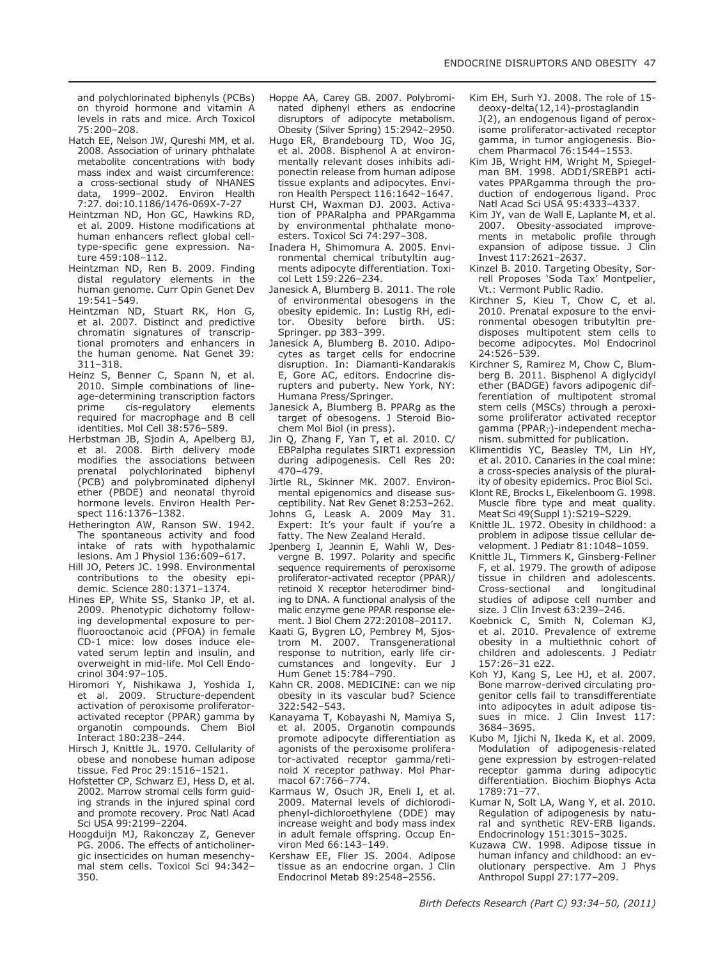and polychlorinated biphenyls (PCBs) on thyroid hormone and vitamin A levels in rats and mice. Arch Toxicol 75:200–208.

- Hatch EE, Nelson JW, Qureshi MM, et al. 2008. Association of urinary phthalate metabolite concentrations with body mass index and waist circumference: a cross-sectional study of NHANES data, 1999–2002. Environ Health 7:27. doi:10.1186/1476-069X-7-27
- Heintzman ND, Hon GC, Hawkins RD, et al. 2009. Histone modifications at human enhancers reflect global celltype-specific gene expression. Nature 459:108–112.
- Heintzman ND, Ren B. 2009. Finding distal regulatory elements in the human genome. Curr Opin Genet Dev 19:541–549.
- Heintzman ND, Stuart RK, Hon G, et al. 2007. Distinct and predictive chromatin signatures of transcriptional promoters and enhancers in the human genome. Nat Genet 39: 311–318.
- Heinz S, Benner C, Spann N, et al. 2010. Simple combinations of lineage-determining transcription factors prime cis-regulatory elements required for macrophage and B cell identities. Mol Cell 38:576–589.
- Herbstman JB, Sjodin A, Apelberg BJ, et al. 2008. Birth delivery mode modifies the associations between prenatal polychlorinated biphenyl (PCB) and polybrominated diphenyl ether (PBDE) and neonatal thyroid hormone levels. Environ Health Perspect 116:1376–1382.
- Hetherington AW, Ranson SW. 1942. The spontaneous activity and food intake of rats with hypothalamic lesions. Am J Physiol 136:609–617.
- Hill JO, Peters JC. 1998. Environmental contributions to the obesity epidemic. Science 280:1371–1374.
- Hines EP, White SS, Stanko JP, et al. 2009. Phenotypic dichotomy following developmental exposure to perfluorooctanoic acid (PFOA) in female CD-1 mice: low doses induce elevated serum leptin and insulin, and overweight in mid-life. Mol Cell Endocrinol 304:97–105.
- Hiromori Y, Nishikawa J, Yoshida I, et al. 2009. Structure-dependent activation of peroxisome proliferatoractivated receptor (PPAR) gamma by organotin compounds. Chem Biol Interact 180:238–244.
- Hirsch J, Knittle JL. 1970. Cellularity of obese and nonobese human adipose tissue. Fed Proc 29:1516–1521.
- Hofstetter CP, Schwarz EJ, Hess D, et al. 2002. Marrow stromal cells form guiding strands in the injured spinal cord and promote recovery. Proc Natl Acad Sci USA 99:2199–2204.
- Hoogduijn MJ, Rakonczay Z, Genever PG. 2006. The effects of anticholinergic insecticides on human mesenchymal stem cells. Toxicol Sci 94:342– 350.
- Hoppe AA, Carey GB. 2007. Polybrominated diphenyl ethers as endocrine disruptors of adipocyte metabolism. Obesity (Silver Spring) 15:2942–2950.
- Hugo ER, Brandebourg TD, Woo JG, et al. 2008. Bisphenol A at environmentally relevant doses inhibits adiponectin release from human adipose tissue explants and adipocytes. Environ Health Perspect 116:1642–1647.
- Hurst CH, Waxman DJ. 2003. Activation of PPARalpha and PPARgamma by environmental phthalate monoesters. Toxicol Sci 74:297–308.
- Inadera H, Shimomura A. 2005. Environmental chemical tributyltin augments adipocyte differentiation. Toxicol Lett 159:226–234.
- Janesick A, Blumberg B. 2011. The role of environmental obesogens in the obesity epidemic. In: Lustig RH, editor. Obesity before birth. US: Springer. pp 383–399.
- Janesick A, Blumberg B. 2010. Adipocytes as target cells for endocrine disruption. In: Diamanti-Kandarakis E, Gore AC, editors. Endocrine disrupters and puberty. New York, NY: Humana Press/Springer.
- Janesick A, Blumberg B. PPARg as the target of obesogens. J Steroid Biochem Mol Biol (in press).
- Jin Q, Zhang F, Yan T, et al. 2010. C/ EBPalpha regulates SIRT1 expression during adipogenesis. Cell Res 20: 470–479.
- Jirtle RL, Skinner MK. 2007. Environmental epigenomics and disease susceptibility. Nat Rev Genet 8:253–262.
- Johns G, Leask A. 2009 May 31. Expert: It's your fault if you're a fatty. The New Zealand Herald.
- Jpenberg I, Jeannin E, Wahli W, Desverane B. 1997. Polarity and specific sequence requirements of peroxisome proliferator-activated receptor (PPAR)/ retinoid X receptor heterodimer binding to DNA. A functional analysis of the malic enzyme gene PPAR response element. J Biol Chem 272:20108–20117.
- Kaati G, Bygren LO, Pembrey M, Sjostrom M. 2007. Transgenerational response to nutrition, early life circumstances and longevity. Eur J Hum Genet 15:784–790.
- Kahn CR. 2008. MEDICINE: can we nip obesity in its vascular bud? Science 322:542–543.
- Kanayama T, Kobayashi N, Mamiya S, et al. 2005. Organotin compounds promote adipocyte differentiation as agonists of the peroxisome proliferator-activated receptor gamma/retinoid X receptor pathway. Mol Pharmacol 67:766–774.
- Karmaus W, Osuch JR, Eneli I, et al. 2009. Maternal levels of dichlorodiphenyl-dichloroethylene (DDE) may increase weight and body mass index in adult female offspring. Occup Environ Med 66:143–149.
- Kershaw EE, Flier JS. 2004. Adipose tissue as an endocrine organ. J Clin Endocrinol Metab 89:2548–2556.
- Kim EH, Surh YJ. 2008. The role of 15 deoxy-delta(12,14)-prostaglandin J(2), an endogenous ligand of peroxisome proliferator-activated receptor gamma, in tumor angiogenesis. Biochem Pharmacol 76:1544–1553.
- Kim JB, Wright HM, Wright M, Spiegelman BM. 1998. ADD1/SREBP1 activates PPARgamma through the production of endogenous ligand. Proc Natl Acad Sci USA 95:4333–4337.
- Kim JY, van de Wall E, Laplante M, et al. 2007. Obesity-associated improvements in metabolic profile through expansion of adipose tissue. J Clin Invest 117:2621–2637.
- Kinzel B. 2010. Targeting Obesity, Sorrell Proposes 'Soda Tax' Montpelier, Vt.: Vermont Public Radio.
- Kirchner S, Kieu T, Chow C, et al. 2010. Prenatal exposure to the environmental obesogen tributyltin predisposes multipotent stem cells to become adipocytes. Mol Endocrinol 24:526–539.
- Kirchner S, Ramirez M, Chow C, Blumberg B. 2011. Bisphenol A diglycidyl ether (BADGE) favors adipogenic differentiation of multipotent stromal stem cells (MSCs) through a peroxisome proliferator activated receptor  $gamma$  (PPAR<sub> $\gamma$ </sub>)-independent mechanism. submitted for publication.
- Klimentidis YC, Beasley TM, Lin HY, et al. 2010. Canaries in the coal mine: a cross-species analysis of the plurality of obesity epidemics. Proc Biol Sci.
- Klont RE, Brocks L, Eikelenboom G. 1998. Muscle fibre type and meat quality. Meat Sci 49(Suppl 1):S219–S229.
- Knittle JL. 1972. Obesity in childhood: a problem in adipose tissue cellular development. J Pediatr 81:1048–1059.
- Knittle JL, Timmers K, Ginsberg-Fellner F, et al. 1979. The growth of adipose tissue in children and adolescents. Cross-sectional and studies of adipose cell number and size. J Clin Invest 63:239–246.
- Koebnick C, Smith N, Coleman KJ, et al. 2010. Prevalence of extreme obesity in a multiethnic cohort of children and adolescents. J Pediatr 157:26–31 e22.
- Koh YJ, Kang S, Lee HJ, et al. 2007. Bone marrow-derived circulating progenitor cells fail to transdifferentiate into adipocytes in adult adipose tissues in mice. J Clin Invest 117: 3684–3695.
- Kubo M, Ijichi N, Ikeda K, et al. 2009. Modulation of adipogenesis-related gene expression by estrogen-related receptor gamma during adipocytic differentiation. Biochim Biophys Acta 1789:71–77.
- Kumar N, Solt LA, Wang Y, et al. 2010. Regulation of adipogenesis by natural and synthetic REV-ERB ligands. Endocrinology 151:3015–3025.
- Kuzawa CW. 1998. Adipose tissue in human infancy and childhood: an evolutionary perspective. Am J Phys Anthropol Suppl 27:177–209.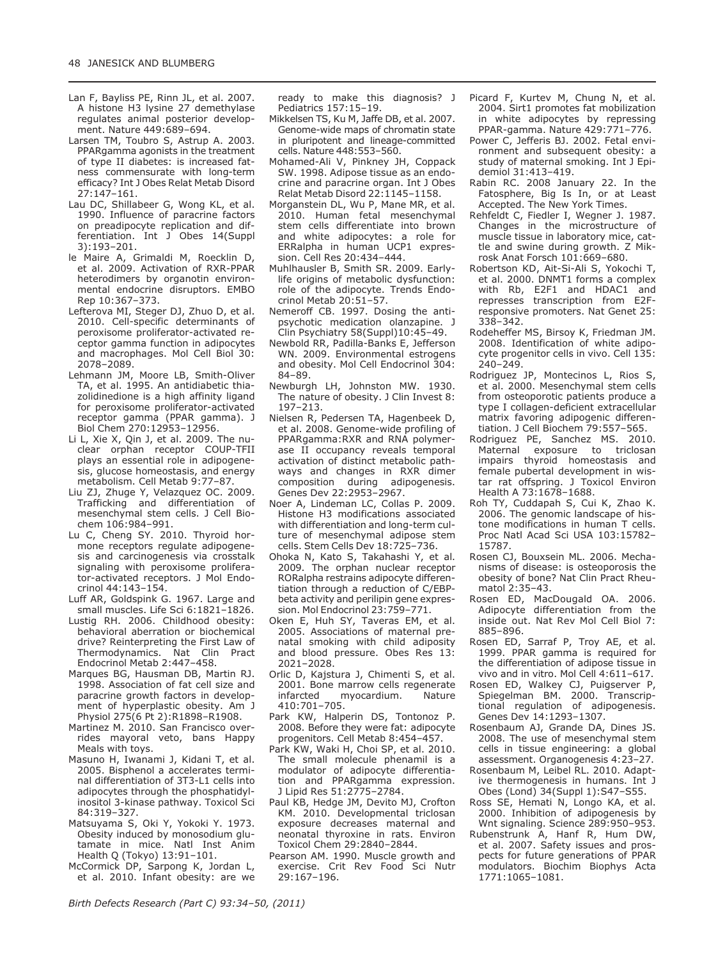- Lan F, Bayliss PE, Rinn JL, et al. 2007. A histone H3 lysine 27 demethylase regulates animal posterior development. Nature 449:689–694.
- Larsen TM, Toubro S, Astrup A. 2003. PPARgamma agonists in the treatment of type II diabetes: is increased fatness commensurate with long-term efficacy? Int J Obes Relat Metab Disord 27:147–161.
- Lau DC, Shillabeer G, Wong KL, et al. 1990. Influence of paracrine factors on preadipocyte replication and differentiation. Int J Obes 14(Suppl 3):193–201.
- le Maire A, Grimaldi M, Roecklin D, et al. 2009. Activation of RXR-PPAR heterodimers by organotin environmental endocrine disruptors. EMBO Rep 10:367–373.
- Lefterova MI, Steger DJ, Zhuo D, et al. 2010. Cell-specific determinants of peroxisome proliferator-activated receptor gamma function in adipocytes and macrophages. Mol Cell Biol 30: 2078–2089.
- Lehmann JM, Moore LB, Smith-Oliver TA, et al. 1995. An antidiabetic thiazolidinedione is a high affinity ligand for peroxisome proliferator-activated receptor gamma (PPAR gamma). J Biol Chem 270:12953–12956.
- Li L, Xie X, Qin J, et al. 2009. The nuclear orphan receptor COUP-TFII plays an essential role in adipogenesis, glucose homeostasis, and energy metabolism. Cell Metab 9:77–87.
- Liu ZJ, Zhuge Y, Velazquez OC. 2009. Trafficking and differentiation of mesenchymal stem cells. J Cell Biochem 106:984–991.
- Lu C, Cheng SY. 2010. Thyroid hormone receptors regulate adipogenesis and carcinogenesis via crosstalk signaling with peroxisome proliferator-activated receptors. J Mol Endocrinol 44:143–154.
- Luff AR, Goldspink G. 1967. Large and small muscles. Life Sci 6:1821–1826.
- Lustig RH. 2006. Childhood obesity: behavioral aberration or biochemical drive? Reinterpreting the First Law of Thermodynamics. Nat Clin Pract Endocrinol Metab 2:447–458.
- Marques BG, Hausman DB, Martin RJ. 1998. Association of fat cell size and paracrine growth factors in development of hyperplastic obesity. Am J Physiol 275(6 Pt 2):R1898–R1908.
- Martinez M. 2010. San Francisco overrides mayoral veto, bans Happy Meals with toys.
- Masuno H, Iwanami J, Kidani T, et al. 2005. Bisphenol a accelerates terminal differentiation of 3T3-L1 cells into adipocytes through the phosphatidylinositol 3-kinase pathway. Toxicol Sci 84:319–327.
- Matsuyama S, Oki Y, Yokoki Y. 1973. Obesity induced by monosodium glutamate in mice. Natl Inst Anim Health Q (Tokyo) 13:91–101.
- McCormick DP, Sarpong K, Jordan L, et al. 2010. Infant obesity: are we

ready to make this diagnosis? J Pediatrics 157:15–19.

- Mikkelsen TS, Ku M, Jaffe DB, et al. 2007. Genome-wide maps of chromatin state in pluripotent and lineage-committed cells. Nature 448:553–560.
- Mohamed-Ali V, Pinkney JH, Coppack SW. 1998. Adipose tissue as an endocrine and paracrine organ. Int J Obes Relat Metab Disord 22:1145–1158.
- Morganstein DL, Wu P, Mane MR, et al. 2010. Human fetal mesenchymal stem cells differentiate into brown and white adipocytes: a role for ERRalpha in human UCP1 expression. Cell Res 20:434–444.
- Muhlhausler B, Smith SR. 2009. Earlylife origins of metabolic dysfunction: role of the adipocyte. Trends Endocrinol Metab 20:51–57.
- Nemeroff CB. 1997. Dosing the antipsychotic medication olanzapine. J Clin Psychiatry 58(Suppl)10:45–49.
- Newbold RR, Padilla-Banks E, Jefferson WN. 2009. Environmental estrogens and obesity. Mol Cell Endocrinol 304: 84–89.
- Newburgh LH, Johnston MW. 1930. The nature of obesity. J Clin Invest 8: 197–213.
- Nielsen R, Pedersen TA, Hagenbeek D, et al. 2008. Genome-wide profiling of PPARgamma:RXR and RNA polymerase II occupancy reveals temporal activation of distinct metabolic pathways and changes in RXR dimer composition during adipogenesis. Genes Dev 22:2953–2967.
- Noer A, Lindeman LC, Collas P. 2009. Histone H3 modifications associated with differentiation and long-term culture of mesenchymal adipose stem cells. Stem Cells Dev 18:725–736.
- Ohoka N, Kato S, Takahashi Y, et al. 2009. The orphan nuclear receptor RORalpha restrains adipocyte differentiation through a reduction of C/EBPbeta activity and perilipin gene expression. Mol Endocrinol 23:759–771.
- Oken E, Huh SY, Taveras EM, et al. 2005. Associations of maternal prenatal smoking with child adiposity and blood pressure. Obes Res 13: 2021–2028.
- Orlic D, Kajstura J, Chimenti S, et al. 2001. Bone marrow cells regenerate infarcted myocardium. Nature 410:701–705.
- Park KW, Halperin DS, Tontonoz P. 2008. Before they were fat: adipocyte progenitors. Cell Metab 8:454–457.
- Park KW, Waki H, Choi SP, et al. 2010. The small molecule phenamil is a modulator of adipocyte differentiation and PPARgamma expression. J Lipid Res 51:2775–2784.
- Paul KB, Hedge JM, Devito MJ, Crofton KM. 2010. Developmental triclosan exposure decreases maternal and neonatal thyroxine in rats. Environ Toxicol Chem 29:2840–2844.
- Pearson AM. 1990. Muscle growth and exercise. Crit Rev Food Sci Nutr 29:167–196.
- Picard F, Kurtev M, Chung N, et al. 2004. Sirt1 promotes fat mobilization in white adipocytes by repressing PPAR-gamma. Nature 429:771–776.
- Power C, Jefferis BJ. 2002. Fetal environment and subsequent obesity: a study of maternal smoking. Int J Epidemiol 31:413–419.
- Rabin RC. 2008 January 22. In the Fatosphere, Big Is In, or at Least Accepted. The New York Times.
- Rehfeldt C, Fiedler I, Wegner J. 1987. Changes in the microstructure of muscle tissue in laboratory mice, cattle and swine during growth. Z Mikrosk Anat Forsch 101:669–680.
- Robertson KD, Ait-Si-Ali S, Yokochi T, et al. 2000. DNMT1 forms a complex with Rb, E2F1 and HDAC1 and represses transcription from E2Fresponsive promoters. Nat Genet 25: 338–342.
- Rodeheffer MS, Birsoy K, Friedman JM. 2008. Identification of white adipocyte progenitor cells in vivo. Cell 135: 240–249.
- Rodriguez JP, Montecinos L, Rios S, et al. 2000. Mesenchymal stem cells from osteoporotic patients produce a type I collagen-deficient extracellular matrix favoring adipogenic differentiation. J Cell Biochem 79:557–565.
- Rodriguez PE, Sanchez MS. 2010. Maternal exposure to triclosan impairs thyroid homeostasis and female pubertal development in wistar rat offspring. J Toxicol Environ Health A 73:1678–1688.
- Roh TY, Cuddapah S, Cui K, Zhao K. 2006. The genomic landscape of histone modifications in human T cells. Proc Natl Acad Sci USA 103:15782– 15787.
- Rosen CJ, Bouxsein ML. 2006. Mechanisms of disease: is osteoporosis the obesity of bone? Nat Clin Pract Rheumatol 2:35–43.
- Rosen ED, MacDougald OA. 2006. Adipocyte differentiation from the inside out. Nat Rev Mol Cell Biol 7: 885–896.
- Rosen ED, Sarraf P, Troy AE, et al. 1999. PPAR gamma is required for the differentiation of adipose tissue in vivo and in vitro. Mol Cell 4:611–617.
- Rosen ED, Walkey CJ, Puigserver P, Spiegelman BM. 2000. Transcriptional regulation of adipogenesis. Genes Dev 14:1293–1307.
- Rosenbaum AJ, Grande DA, Dines JS. 2008. The use of mesenchymal stem cells in tissue engineering: a global assessment. Organogenesis 4:23–27.
- Rosenbaum M, Leibel RL. 2010. Adaptive thermogenesis in humans. Int J Obes (Lond) 34(Suppl 1):S47–S55.
- Ross SE, Hemati N, Longo KA, et al. 2000. Inhibition of adipogenesis by Wnt signaling. Science 289:950–953.
- Rubenstrunk A, Hanf R, Hum DW, et al. 2007. Safety issues and prospects for future generations of PPAR modulators. Biochim Biophys Acta 1771:1065–1081.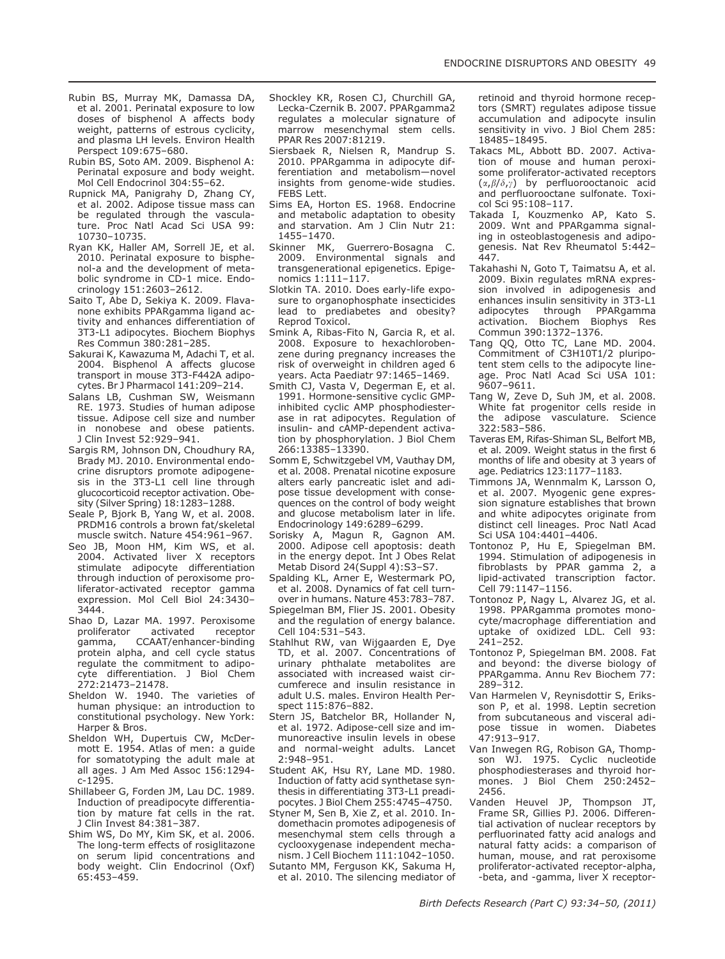- Rubin BS, Murray MK, Damassa DA, et al. 2001. Perinatal exposure to low doses of bisphenol A affects body weight, patterns of estrous cyclicity, and plasma LH levels. Environ Health Perspect 109:675–680.
- Rubin BS, Soto AM. 2009. Bisphenol A: Perinatal exposure and body weight. Mol Cell Endocrinol 304:55–62.
- Rupnick MA, Panigrahy D, Zhang CY, et al. 2002. Adipose tissue mass can be regulated through the vasculature. Proc Natl Acad Sci USA 99: 10730–10735.
- Ryan KK, Haller AM, Sorrell JE, et al. 2010. Perinatal exposure to bisphenol-a and the development of metabolic syndrome in CD-1 mice. Endocrinology 151:2603–2612.
- Saito T, Abe D, Sekiya K. 2009. Flavanone exhibits PPARqamma ligand activity and enhances differentiation of 3T3-L1 adipocytes. Biochem Biophys Res Commun 380:281–285.
- Sakurai K, Kawazuma M, Adachi T, et al. 2004. Bisphenol A affects glucose transport in mouse 3T3-F442A adipocytes. Br J Pharmacol 141:209–214.
- Salans LB, Cushman SW, Weismann RE. 1973. Studies of human adipose tissue. Adipose cell size and number in nonobese and obese patients. J Clin Invest 52:929–941.
- Sargis RM, Johnson DN, Choudhury RA, Brady MJ. 2010. Environmental endocrine disruptors promote adipogenesis in the 3T3-L1 cell line through glucocorticoid receptor activation. Obesity (Silver Spring) 18:1283–1288.
- Seale P, Bjork B, Yang W, et al. 2008. PRDM16 controls a brown fat/skeletal muscle switch. Nature 454:961–967.
- Seo JB, Moon HM, Kim WS, et al. 2004. Activated liver X receptors stimulate adipocyte differentiation through induction of peroxisome proliferator-activated receptor gamma expression. Mol Cell Biol 24:3430– 3444.
- Shao D, Lazar MA. 1997. Peroxisome proliferator activated receptor gamma, CCAAT/enhancer-binding protein alpha, and cell cycle status regulate the commitment to adipocyte differentiation. J Biol Chem 272:21473–21478.
- Sheldon W. 1940. The varieties of human physique: an introduction to constitutional psychology. New York: Harper & Bros.
- Sheldon WH, Dupertuis CW, McDermott E. 1954. Atlas of men: a guide for somatotyping the adult male at all ages. J Am Med Assoc 156:1294 c-1295.
- Shillabeer G, Forden JM, Lau DC. 1989. Induction of preadipocyte differentiation by mature fat cells in the rat. J Clin Invest 84:381–387.
- Shim WS, Do MY, Kim SK, et al. 2006. The long-term effects of rosiglitazone on serum lipid concentrations and body weight. Clin Endocrinol (Oxf) 65:453–459.
- Shockley KR, Rosen CJ, Churchill GA, Lecka-Czernik B. 2007. PPARgamma2 regulates a molecular signature of marrow mesenchymal stem cells. PPAR Res 2007:81219.
- Siersbaek R, Nielsen R, Mandrup S. 2010. PPARgamma in adipocyte differentiation and metabolism—novel insights from genome-wide studies. FEBS Lett.
- Sims EA, Horton ES. 1968. Endocrine and metabolic adaptation to obesity and starvation. Am J Clin Nutr 21: 1455–1470.<br>Skinner MK
- Guerrero-Bosagna C. 2009. Environmental signals and transgenerational epigenetics. Epigenomics 1:111–117.
- Slotkin TA. 2010. Does early-life exposure to organophosphate insecticides lead to prediabetes and obesity? Reprod Toxicol.
- Smink A, Ribas-Fito N, Garcia R, et al. 2008. Exposure to hexachlorobenzene during pregnancy increases the risk of overweight in children aged 6 years. Acta Paediatr 97:1465–1469.
- Smith CJ, Vasta V, Degerman E, et al. 1991. Hormone-sensitive cyclic GMPinhibited cyclic AMP phosphodiesterase in rat adipocytes. Regulation of insulin- and cAMP-dependent activation by phosphorylation. J Biol Chem 266:13385–13390.
- Somm E, Schwitzgebel VM, Vauthay DM, et al. 2008. Prenatal nicotine exposure alters early pancreatic islet and adipose tissue development with consequences on the control of body weight and glucose metabolism later in life. Endocrinology 149:6289–6299.
- Sorisky A, Magun R, Gagnon AM. 2000. Adipose cell apoptosis: death in the energy depot. Int J Obes Relat Metab Disord 24(Suppl 4):S3–S7.
- Spalding KL, Arner E, Westermark PO, et al. 2008. Dynamics of fat cell turnover in humans. Nature 453:783–787.
- Spiegelman BM, Flier JS. 2001. Obesity and the regulation of energy balance. Cell 104:531–543.
- Stahlhut RW, van Wijgaarden E, Dye TD, et al. 2007. Concentrations of urinary phthalate metabolites are associated with increased waist circumferece and insulin resistance in adult U.S. males. Environ Health Perspect 115:876–882.
- Stern JS, Batchelor BR, Hollander N, et al. 1972. Adipose-cell size and immunoreactive insulin levels in obese and normal-weight adults. Lancet 2:948–951.
- Student AK, Hsu RY, Lane MD. 1980. Induction of fatty acid synthetase synthesis in differentiating 3T3-L1 preadipocytes. J Biol Chem 255:4745–4750.
- Styner M, Sen B, Xie Z, et al. 2010. Indomethacin promotes adipogenesis of mesenchymal stem cells through a cyclooxygenase independent mechanism. J Cell Biochem 111:1042–1050.
- Sutanto MM, Ferguson KK, Sakuma H, et al. 2010. The silencing mediator of

retinoid and thyroid hormone receptors (SMRT) regulates adipose tissue accumulation and adipocyte insulin sensitivity in vivo. J Biol Chem 285: 18485–18495.

- Takacs ML, Abbott BD. 2007. Activation of mouse and human peroxisome proliferator-activated receptors  $(\alpha, \beta/\delta, \gamma)$  by perfluorooctanoic acid and perfluorooctane sulfonate. Toxicol Sci 95:108–117.
- Takada I, Kouzmenko AP, Kato S. 2009. Wnt and PPARgamma signaling in osteoblastogenesis and adipogenesis. Nat Rev Rheumatol 5:442– 447.
- Takahashi N, Goto T, Taimatsu A, et al. 2009. Bixin regulates mRNA expression involved in adipogenesis and enhances insulin sensitivity in 3T3-L1<br>adipocytes through PPARgamma adipocytes through activation. Biochem Biophys Res Commun 390:1372–1376.
- Tang QQ, Otto TC, Lane MD. 2004. Commitment of C3H10T1/2 pluripotent stem cells to the adipocyte lineage. Proc Natl Acad Sci USA 101: 9607–9611.
- Tang W, Zeve D, Suh JM, et al. 2008. White fat progenitor cells reside in the adipose vasculature. Science  $322.583 - 586$
- Taveras EM, Rifas-Shiman SL, Belfort MB, et al. 2009. Weight status in the first 6 months of life and obesity at 3 years of age. Pediatrics 123:1177–1183.
- Timmons JA, Wennmalm K, Larsson O, et al. 2007. Myogenic gene expression signature establishes that brown and white adipocytes originate from distinct cell lineages. Proc Natl Acad Sci USA 104:4401–4406.
- Tontonoz P, Hu E, Spiegelman BM. 1994. Stimulation of adipogenesis in fibroblasts by PPAR gamma 2, a lipid-activated transcription factor. Cell 79:1147–1156.
- Tontonoz P, Nagy L, Alvarez JG, et al. 1998. PPARgamma promotes monocyte/macrophage differentiation and uptake of oxidized LDL. Cell 93: 241–252.
- Tontonoz P, Spiegelman BM. 2008. Fat and beyond: the diverse biology of PPARgamma. Annu Rev Biochem 77: 289–312.
- Van Harmelen V, Reynisdottir S, Eriksson P, et al. 1998. Leptin secretion from subcutaneous and visceral adipose tissue in women. Diabetes 47:913–917.
- Van Inwegen RG, Robison GA, Thompson WJ. 1975. Cyclic nucleotide phosphodiesterases and thyroid hormones. J Biol Chem 250:2452– 2456.
- Vanden Heuvel JP, Thompson JT, Frame SR, Gillies PJ. 2006. Differential activation of nuclear receptors by perfluorinated fatty acid analogs and natural fatty acids: a comparison of human, mouse, and rat peroxisome proliferator-activated receptor-alpha, -beta, and -gamma, liver X receptor-